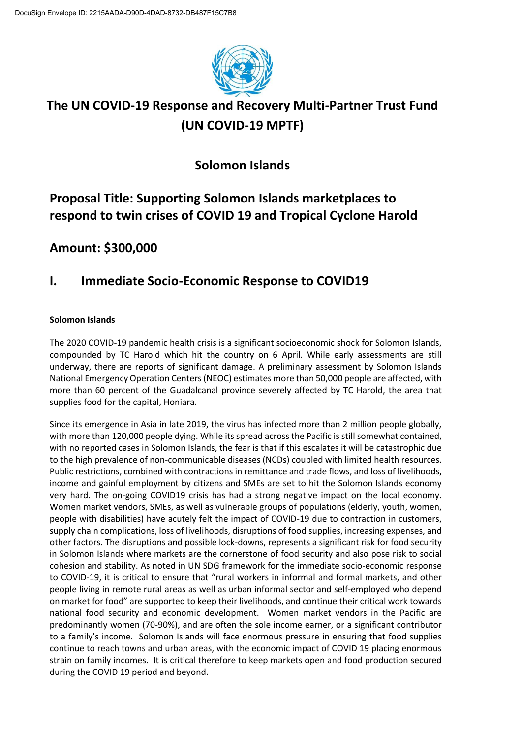

## **The UN COVID-19 Response and Recovery Multi-Partner Trust Fund (UN COVID-19 MPTF)**

## **Solomon Islands**

## **Proposal Title: Supporting Solomon Islands marketplaces to respond to twin crises of COVID 19 and Tropical Cyclone Harold**

## **Amount: \$300,000**

## **I. Immediate Socio-Economic Response to COVID19**

#### **Solomon Islands**

The 2020 COVID-19 pandemic health crisis is a significant socioeconomic shock for Solomon Islands, compounded by TC Harold which hit the country on 6 April. While early assessments are still underway, there are reports of significant damage. A preliminary assessment by Solomon Islands National Emergency Operation Centers (NEOC) estimates more than 50,000 people are affected, with more than 60 percent of the Guadalcanal province severely affected by TC Harold, the area that supplies food for the capital, Honiara.

Since its emergence in Asia in late 2019, the virus has infected more than 2 million people globally, with more than 120,000 people dying. While its spread across the Pacific is still somewhat contained, with no reported cases in Solomon Islands, the fear is that if this escalates it will be catastrophic due to the high prevalence of non-communicable diseases (NCDs) coupled with limited health resources. Public restrictions, combined with contractions in remittance and trade flows, and loss of livelihoods, income and gainful employment by citizens and SMEs are set to hit the Solomon Islands economy very hard. The on-going COVID19 crisis has had a strong negative impact on the local economy. Women market vendors, SMEs, as well as vulnerable groups of populations (elderly, youth, women, people with disabilities) have acutely felt the impact of COVID-19 due to contraction in customers, supply chain complications, loss of livelihoods, disruptions of food supplies, increasing expenses, and other factors. The disruptions and possible lock-downs, represents a significant risk for food security in Solomon Islands where markets are the cornerstone of food security and also pose risk to social cohesion and stability. As noted in UN SDG framework for the immediate socio-economic response to COVID-19, it is critical to ensure that "rural workers in informal and formal markets, and other people living in remote rural areas as well as urban informal sector and self-employed who depend on market for food" are supported to keep their livelihoods, and continue their critical work towards national food security and economic development. Women market vendors in the Pacific are predominantly women (70-90%), and are often the sole income earner, or a significant contributor to a family's income. Solomon Islands will face enormous pressure in ensuring that food supplies continue to reach towns and urban areas, with the economic impact of COVID 19 placing enormous strain on family incomes. It is critical therefore to keep markets open and food production secured during the COVID 19 period and beyond.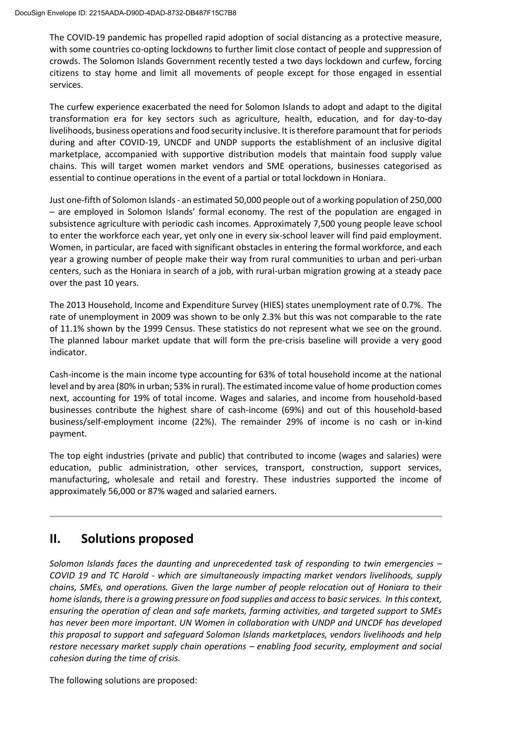The COVID-19 pandemic has propelled rapid adoption of social distancing as a protective measure, with some countries co-opting lockdowns to further limit close contact of people and suppression of crowds. The Solomon Islands Government recently tested a two days lockdown and curfew, forcing citizens to stay home and limit all movements of people except for those engaged in essential services.

The curfew experience exacerbated the need for Solomon Islands to adopt and adapt to the digital transformation era for key sectors such as agriculture, health, education, and for day-to-day livelihoods, business operations and food security inclusive. It is therefore paramount that for periods during and after COVID-19, UNCDF and UNDP supports the establishment of an inclusive digital marketplace, accompanied with supportive distribution models that maintain food supply value chains. This will target women market vendors and SME operations, businesses categorised as essential to continue operations in the event of a partial or total lockdown in Honiara.

Just one-fifth of Solomon Islands - an estimated 50,000 people out of a working population of 250,000 – are employed in Solomon Islands' formal economy. The rest of the population are engaged in subsistence agriculture with periodic cash incomes. Approximately 7,500 young people leave school to enter the workforce each year, yet only one in every six-school leaver will find paid employment. Women, in particular, are faced with significant obstacles in entering the formal workforce, and each year a growing number of people make their way from rural communities to urban and peri-urban centers, such as the Honiara in search of a job, with rural-urban migration growing at a steady pace over the past 10 years.

The 2013 Household, Income and Expenditure Survey (HIES) states unemployment rate of 0.7%. The rate of unemployment in 2009 was shown to be only 2.3% but this was not comparable to the rate of 11.1% shown by the 1999 Census. These statistics do not represent what we see on the ground. The planned labour market update that will form the pre-crisis baseline will provide a very good indicator.

Cash-income is the main income type accounting for 63% of total household income at the national level and by area (80% in urban; 53% in rural). The estimated income value of home production comes next, accounting for 19% of total income. Wages and salaries, and income from household-based businesses contribute the highest share of cash-income (69%) and out of this household-based business/self-employment income (22%). The remainder 29% of income is no cash or in-kind payment.

The top eight industries (private and public) that contributed to income (wages and salaries) were education, public administration, other services, transport, construction, support services, manufacturing, wholesale and retail and forestry. These industries supported the income of approximately 56,000 or 87% waged and salaried earners.

### **II. Solutions proposed**

*Solomon Islands faces the daunting and unprecedented task of responding to twin emergencies – COVID 19 and TC Harold - which are simultaneously impacting market vendors livelihoods, supply chains, SMEs, and operations. Given the large number of people relocation out of Honiara to their home islands, there is a growing pressure on food supplies and access to basic services[.](https://undp-my.sharepoint.com/personal/hunjai_lee_undp_org/Documents/HJ/Covid/Annex4-Proposal%20Template_Call1_CovidFund_M4C22042020Solsproposal_ED%20(1).doc#_msocom_1) In this context, ensuring the operation of clean and safe markets, farming activities, and targeted support to SMEs has never been more important. UN Women in collaboration with UNDP and UNCDF has developed this proposal to support and safeguard Solomon Islands marketplaces, vendors livelihoods and help restore necessary market supply chain operations – enabling food security, employment and social cohesion during the time of crisis.* 

The following solutions are proposed: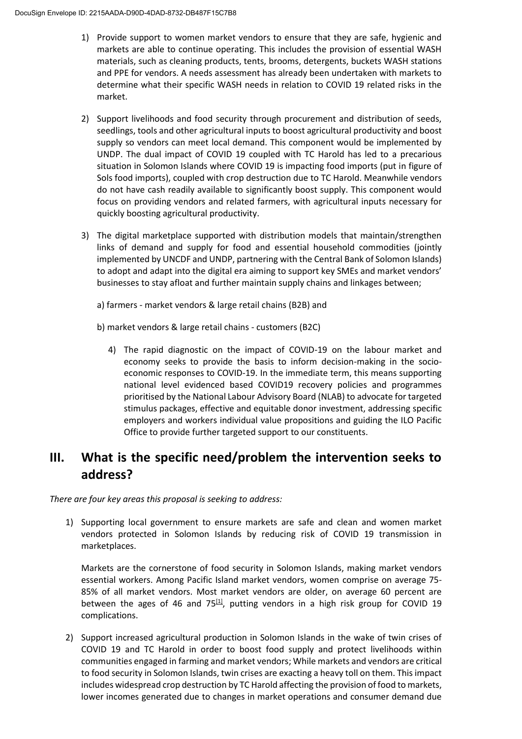- 1) Provide support to women market vendors to ensure that they are safe, hygienic and markets are able to continue operating. This includes the provision of essential WASH materials, such as cleaning products, tents, brooms, detergents, buckets WASH stations and PPE for vendors. A needs assessment has already been undertaken with markets to determine what their specific WASH needs in relation to COVID 19 related risks in the market.
- 2) Support livelihoods and food security through procurement and distribution of seeds, seedlings, tools and other agricultural inputs to boost agricultural productivity and boost supply so vendors can meet local demand. This component would be implemented by UNDP. The dual impact of COVID 19 coupled with TC Harold has led to a precarious situation in Solomon Islands where COVID 19 is impacting food imports (put in figure of Sols food imports), coupled with crop destruction due to TC Harold. Meanwhile vendors do not have cash readily available to significantly boost supply. This component would focus on providing vendors and related farmers, with agricultural inputs necessary for quickly boosting agricultural productivity.
- 3) The digital marketplace supported with distribution models that maintain/strengthen links of demand and supply for food and essential household commodities (jointly implemented by UNCDF and UNDP, partnering with the Central Bank of Solomon Islands) to adopt and adapt into the digital era aiming to support key SMEs and market vendors' businesses to stay afloat and further maintain supply chains and linkages between;
	- a) farmers market vendors & large retail chains (B2B) and
	- b) market vendors & large retail chains customers (B2C)
		- 4) The rapid diagnostic on the impact of COVID-19 on the labour market and economy seeks to provide the basis to inform decision-making in the socioeconomic responses to COVID-19. In the immediate term, this means supporting national level evidenced based COVID19 recovery policies and programmes prioritised by the National Labour Advisory Board (NLAB) to advocate for targeted stimulus packages, effective and equitable donor investment, addressing specific employers and workers individual value propositions and guiding the ILO Pacific Office to provide further targeted support to our constituents.

## **III. What is the specific need/problem the intervention seeks to address?**

*There are four key areas this proposal is seeking to address:* 

1) Supporting local government to ensure markets are safe and clean and women market vendors protected in Solomon Islands by reducing risk of COVID 19 transmission in marketplaces.

Markets are the cornerstone of food security in Solomon Islands, making market vendors essential workers. Among Pacific Island market vendors, women comprise on average 75- 85% of all market vendors. Most market vendors are older, on average 60 percent are between the ages of 46 and 75 $[1, 2]$ , putting vendors in a high risk group for COVID 19 complications.

2) Support increased agricultural production in Solomon Islands in the wake of twin crises of COVID 19 and TC Harold in order to boost food supply and protect livelihoods within communities engaged in farming and market vendors; While markets and vendors are critical to food security in Solomon Islands, twin crises are exacting a heavy toll on them. This impact includes widespread crop destruction by TC Harold affecting the provision of food to markets, lower incomes generated due to changes in market operations and consumer demand due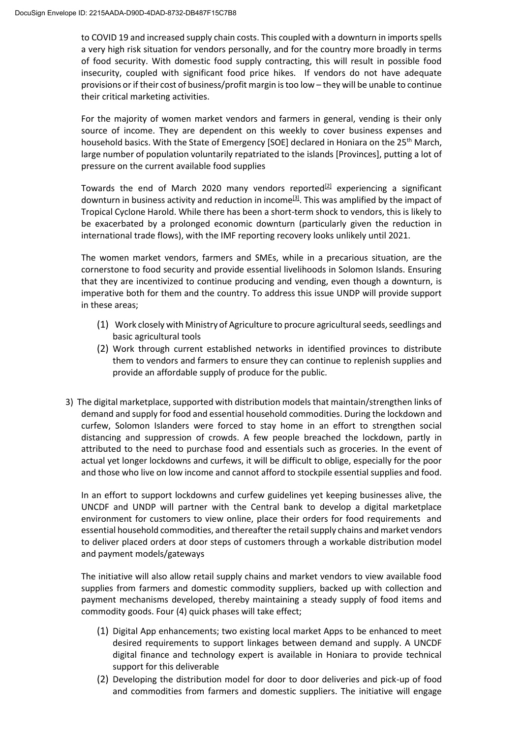to COVID 19 and increased supply chain costs. This coupled with a downturn in imports spells a very high risk situation for vendors personally, and for the country more broadly in terms of food security. With domestic food supply contracting, this will result in possible food insecurity, coupled with significant food price hikes. If vendors do not have adequate provisions or if their cost of business/profit margin is too low – they will be unable to continue their critical marketing activities.

For the majority of women market vendors and farmers in general, vending is their only source of income. They are dependent on this weekly to cover business expenses and household basics. With the State of Emergency [SOE] declared in Honiara on the 25<sup>th</sup> March, large number of population voluntarily repatriated to the islands [Provinces], putting a lot of pressure on the current available food supplies

Towards the end of March 2020 many vendors reported $[2]$  experiencing a significant downturn in business activity and reduction in income<sup>[\[3\]](https://undp-my.sharepoint.com/personal/hunjai_lee_undp_org/Documents/HJ/Covid/Annex4-Proposal%20Template_Call1_CovidFund_M4C22042020Solsproposal_ED%20(1).doc#_ftn3)</sup>. This was amplified by the impact of Tropical Cyclone Harold. While there has been a short-term shock to vendors, this is likely to be exacerbated by a prolonged economic downturn (particularly given the reduction in international trade flows), with the IMF reporting recovery looks unlikely until 2021.

The women market vendors, farmers and SMEs, while in a precarious situation, are the cornerstone to food security and provide essential livelihoods in Solomon Islands. Ensuring that they are incentivized to continue producing and vending, even though a downturn, is imperative both for them and the country. To address this issue UNDP will provide support in these areas;

- (1) Work closely with Ministry of Agriculture to procure agricultural seeds, seedlings and basic agricultural tools
- (2) Work through current established networks in identified provinces to distribute them to vendors and farmers to ensure they can continue to replenish supplies and provide an affordable supply of produce for the public.
- 3) The digital marketplace, supported with distribution models that maintain/strengthen links of demand and supply for food and essential household commodities. During the lockdown and curfew, Solomon Islanders were forced to stay home in an effort to strengthen social distancing and suppression of crowds. A few people breached the lockdown, partly in attributed to the need to purchase food and essentials such as groceries. In the event of actual yet longer lockdowns and curfews, it will be difficult to oblige, especially for the poor and those who live on low income and cannot afford to stockpile essential supplies and food.

In an effort to support lockdowns and curfew guidelines yet keeping businesses alive, the UNCDF and UNDP will partner with the Central bank to develop a digital marketplace environment for customers to view online, place their orders for food requirements and essential household commodities, and thereafter the retail supply chains and market vendors to deliver placed orders at door steps of customers through a workable distribution model and payment models/gateways

The initiative will also allow retail supply chains and market vendors to view available food supplies from farmers and domestic commodity suppliers, backed up with collection and payment mechanisms developed, thereby maintaining a steady supply of food items and commodity goods. Four (4) quick phases will take effect;

- (1) Digital App enhancements; two existing local market Apps to be enhanced to meet desired requirements to support linkages between demand and supply. A UNCDF digital finance and technology expert is available in Honiara to provide technical support for this deliverable
- (2) Developing the distribution model for door to door deliveries and pick-up of food and commodities from farmers and domestic suppliers. The initiative will engage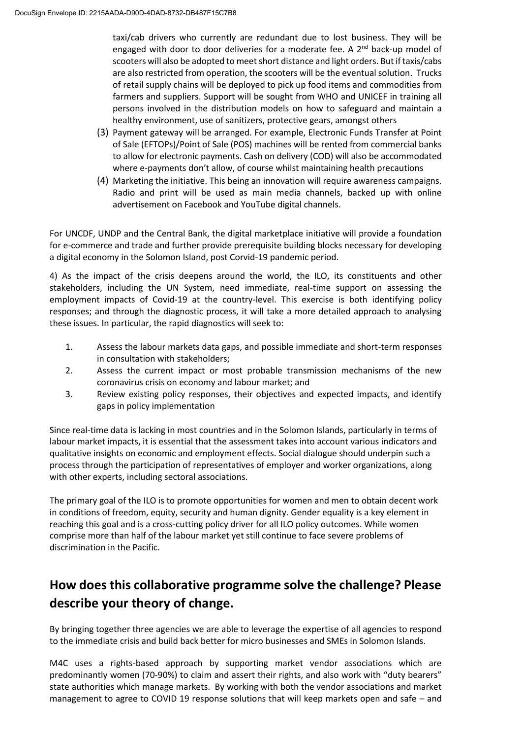taxi/cab drivers who currently are redundant due to lost business. They will be engaged with door to door deliveries for a moderate fee. A  $2<sup>nd</sup>$  back-up model of scooters will also be adopted to meet short distance and light orders. But if taxis/cabs are also restricted from operation, the scooters will be the eventual solution. Trucks of retail supply chains will be deployed to pick up food items and commodities from farmers and suppliers. Support will be sought from WHO and UNICEF in training all persons involved in the distribution models on how to safeguard and maintain a healthy environment, use of sanitizers, protective gears, amongst others

- (3) Payment gateway will be arranged. For example, Electronic Funds Transfer at Point of Sale (EFTOPs)/Point of Sale (POS) machines will be rented from commercial banks to allow for electronic payments. Cash on delivery (COD) will also be accommodated where e-payments don't allow, of course whilst maintaining health precautions
- (4) Marketing the initiative. This being an innovation will require awareness campaigns. Radio and print will be used as main media channels, backed up with online advertisement on Facebook and YouTube digital channels.

For UNCDF, UNDP and the Central Bank, the digital marketplace initiative will provide a foundation for e-commerce and trade and further provide prerequisite building blocks necessary for developing a digital economy in the Solomon Island, post Corvid-19 pandemic period.

4) As the impact of the crisis deepens around the world, the ILO, its constituents and other stakeholders, including the UN System, need immediate, real-time support on assessing the employment impacts of Covid-19 at the country-level. This exercise is both identifying policy responses; and through the diagnostic process, it will take a more detailed approach to analysing these issues. In particular, the rapid diagnostics will seek to:

- 1. Assess the labour markets data gaps, and possible immediate and short-term responses in consultation with stakeholders;
- 2. Assess the current impact or most probable transmission mechanisms of the new coronavirus crisis on economy and labour market; and
- 3. Review existing policy responses, their objectives and expected impacts, and identify gaps in policy implementation

Since real-time data is lacking in most countries and in the Solomon Islands, particularly in terms of labour market impacts, it is essential that the assessment takes into account various indicators and qualitative insights on economic and employment effects. Social dialogue should underpin such a process through the participation of representatives of employer and worker organizations, along with other experts, including sectoral associations.

The primary goal of the ILO is to promote opportunities for women and men to obtain decent work in conditions of freedom, equity, security and human dignity. Gender equality is a key element in reaching this goal and is a cross-cutting policy driver for all ILO policy outcomes. While women comprise more than half of the labour market yet still continue to face severe problems of discrimination in the Pacific.

## **How does this collaborative programme solve the challenge? Please describe your theory of change.**

By bringing together three agencies we are able to leverage the expertise of all agencies to respond to the immediate crisis and build back better for micro businesses and SMEs in Solomon Islands.

M4C uses a rights-based approach by supporting market vendor associations which are predominantly women (70-90%) to claim and assert their rights, and also work with "duty bearers" state authorities which manage markets. By working with both the vendor associations and market management to agree to COVID 19 response solutions that will keep markets open and safe – and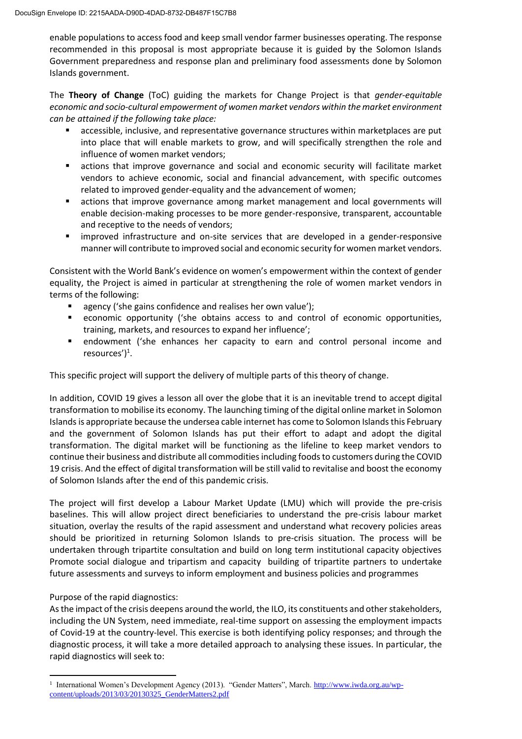enable populations to access food and keep small vendor farmer businesses operating. The response recommended in this proposal is most appropriate because it is guided by the Solomon Islands Government preparedness and response plan and preliminary food assessments done by Solomon Islands government.

The **Theory of Change** (ToC) guiding the markets for Change Project is that *gender-equitable economic and socio-cultural empowerment of women market vendors within the market environment can be attained if the following take place:*

- accessible, inclusive, and representative governance structures within marketplaces are put into place that will enable markets to grow, and will specifically strengthen the role and influence of women market vendors;
- actions that improve governance and social and economic security will facilitate market vendors to achieve economic, social and financial advancement, with specific outcomes related to improved gender-equality and the advancement of women;
- actions that improve governance among market management and local governments will enable decision-making processes to be more gender-responsive, transparent, accountable and receptive to the needs of vendors;
- improved infrastructure and on-site services that are developed in a gender-responsive manner will contribute to improved social and economic security for women market vendors.

Consistent with the World Bank's evidence on women's empowerment within the context of gender equality, the Project is aimed in particular at strengthening the role of women market vendors in terms of the following:

- agency ('she gains confidence and realises her own value');
- **•** economic opportunity ('she obtains access to and control of economic opportunities, training, markets, and resources to expand her influence';
- endowment ('she enhances her capacity to earn and control personal income and resources')<sup>1</sup>.

This specific project will support the delivery of multiple parts of this theory of change.

In addition, COVID 19 gives a lesson all over the globe that it is an inevitable trend to accept digital transformation to mobilise its economy. The launching timing of the digital online market in Solomon Islands is appropriate because the undersea cable internet has come to Solomon Islands this February and the government of Solomon Islands has put their effort to adapt and adopt the digital transformation. The digital market will be functioning as the lifeline to keep market vendors to continue their business and distribute all commodities including foods to customers during the COVID 19 crisis. And the effect of digital transformation will be still valid to revitalise and boost the economy of Solomon Islands after the end of this pandemic crisis.

The project will first develop a Labour Market Update (LMU) which will provide the pre-crisis baselines. This will allow project direct beneficiaries to understand the pre-crisis labour market situation, overlay the results of the rapid assessment and understand what recovery policies areas should be prioritized in returning Solomon Islands to pre-crisis situation. The process will be undertaken through tripartite consultation and build on long term institutional capacity objectives Promote social dialogue and tripartism and capacity building of tripartite partners to undertake future assessments and surveys to inform employment and business policies and programmes

#### Purpose of the rapid diagnostics:

As the impact of the crisis deepens around the world, the ILO, its constituents and other stakeholders, including the UN System, need immediate, real-time support on assessing the employment impacts of Covid-19 at the country-level. This exercise is both identifying policy responses; and through the diagnostic process, it will take a more detailed approach to analysing these issues. In particular, the rapid diagnostics will seek to:

<sup>&</sup>lt;sup>1</sup> International Women's Development Agency (2013). "Gender Matters", March. [http://www.iwda.org.au/wp](http://www.iwda.org.au/wp-content/uploads/2013/03/20130325_GenderMatters2.pdf)[content/uploads/2013/03/20130325\\_GenderMatters2.pdf](http://www.iwda.org.au/wp-content/uploads/2013/03/20130325_GenderMatters2.pdf)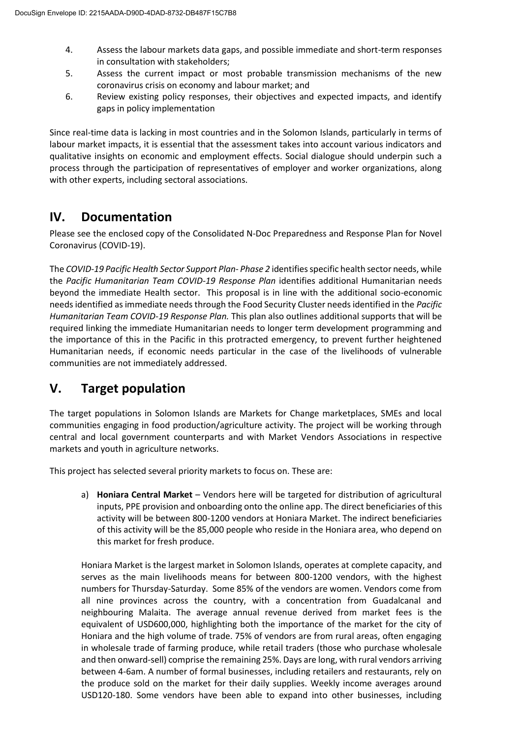- 4. Assess the labour markets data gaps, and possible immediate and short-term responses in consultation with stakeholders;
- 5. Assess the current impact or most probable transmission mechanisms of the new coronavirus crisis on economy and labour market; and
- 6. Review existing policy responses, their objectives and expected impacts, and identify gaps in policy implementation

Since real-time data is lacking in most countries and in the Solomon Islands, particularly in terms of labour market impacts, it is essential that the assessment takes into account various indicators and qualitative insights on economic and employment effects. Social dialogue should underpin such a process through the participation of representatives of employer and worker organizations, along with other experts, including sectoral associations.

### **IV. Documentation**

Please see the enclosed copy of the Consolidated N-Doc Preparedness and Response Plan for Novel Coronavirus (COVID-19).

The *COVID-19 Pacific Health Sector Support Plan- Phase 2* identifies specific health sector needs, while the *Pacific Humanitarian Team COVID-19 Response Plan* identifies additional Humanitarian needs beyond the immediate Health sector. This proposal is in line with the additional socio-economic needs identified as immediate needs through the Food Security Cluster needs identified in the *Pacific Humanitarian Team COVID-19 Response Plan.* This plan also outlines additional supports that will be required linking the immediate Humanitarian needs to longer term development programming and the importance of this in the Pacific in this protracted emergency, to prevent further heightened Humanitarian needs, if economic needs particular in the case of the livelihoods of vulnerable communities are not immediately addressed.

## **V. Target population**

The target populations in Solomon Islands are Markets for Change marketplaces, SMEs and local communities engaging in food production/agriculture activity. The project will be working through central and local government counterparts and with Market Vendors Associations in respective markets and youth in agriculture networks.

This project has selected several priority markets to focus on. These are:

a) **Honiara Central Market** – Vendors here will be targeted for distribution of agricultural inputs, PPE provision and onboarding onto the online app. The direct beneficiaries of this activity will be between 800-1200 vendors at Honiara Market. The indirect beneficiaries of this activity will be the 85,000 people who reside in the Honiara area, who depend on this market for fresh produce.

Honiara Market is the largest market in Solomon Islands, operates at complete capacity, and serves as the main livelihoods means for between 800-1200 vendors, with the highest numbers for Thursday-Saturday. Some 85% of the vendors are women. Vendors come from all nine provinces across the country, with a concentration from Guadalcanal and neighbouring Malaita. The average annual revenue derived from market fees is the equivalent of USD600,000, highlighting both the importance of the market for the city of Honiara and the high volume of trade. 75% of vendors are from rural areas, often engaging in wholesale trade of farming produce, while retail traders (those who purchase wholesale and then onward-sell) comprise the remaining 25%. Days are long, with rural vendors arriving between 4-6am. A number of formal businesses, including retailers and restaurants, rely on the produce sold on the market for their daily supplies. Weekly income averages around USD120-180. Some vendors have been able to expand into other businesses, including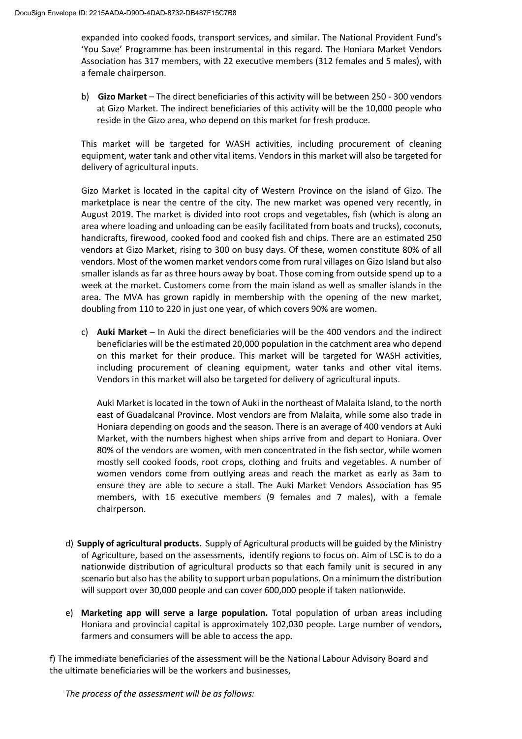expanded into cooked foods, transport services, and similar. The National Provident Fund's 'You Save' Programme has been instrumental in this regard. The Honiara Market Vendors Association has 317 members, with 22 executive members (312 females and 5 males), with a female chairperson.

b) **Gizo Market** – The direct beneficiaries of this activity will be between 250 - 300 vendors at Gizo Market. The indirect beneficiaries of this activity will be the 10,000 people who reside in the Gizo area, who depend on this market for fresh produce.

This market will be targeted for WASH activities, including procurement of cleaning equipment, water tank and other vital items. Vendors in this market will also be targeted for delivery of agricultural inputs.

Gizo Market is located in the capital city of Western Province on the island of Gizo. The marketplace is near the centre of the city. The new market was opened very recently, in August 2019. The market is divided into root crops and vegetables, fish (which is along an area where loading and unloading can be easily facilitated from boats and trucks), coconuts, handicrafts, firewood, cooked food and cooked fish and chips. There are an estimated 250 vendors at Gizo Market, rising to 300 on busy days. Of these, women constitute 80% of all vendors. Most of the women market vendors come from rural villages on Gizo Island but also smaller islands as far as three hours away by boat. Those coming from outside spend up to a week at the market. Customers come from the main island as well as smaller islands in the area. The MVA has grown rapidly in membership with the opening of the new market, doubling from 110 to 220 in just one year, of which covers 90% are women.

c) **Auki Market** – In Auki the direct beneficiaries will be the 400 vendors and the indirect beneficiaries will be the estimated 20,000 population in the catchment area who depend on this market for their produce. This market will be targeted for WASH activities, including procurement of cleaning equipment, water tanks and other vital items. Vendors in this market will also be targeted for delivery of agricultural inputs.

Auki Market is located in the town of Auki in the northeast of Malaita Island, to the north east of Guadalcanal Province. Most vendors are from Malaita, while some also trade in Honiara depending on goods and the season. There is an average of 400 vendors at Auki Market, with the numbers highest when ships arrive from and depart to Honiara. Over 80% of the vendors are women, with men concentrated in the fish sector, while women mostly sell cooked foods, root crops, clothing and fruits and vegetables. A number of women vendors come from outlying areas and reach the market as early as 3am to ensure they are able to secure a stall. The Auki Market Vendors Association has 95 members, with 16 executive members (9 females and 7 males), with a female chairperson.

- d) **Supply of agricultural products.** Supply of Agricultural products will be guided by the Ministry of Agriculture, based on the assessments, identify regions to focus on. Aim of LSC is to do a nationwide distribution of agricultural products so that each family unit is secured in any scenario but also has the ability to support urban populations. On a minimum the distribution will support over 30,000 people and can cover 600,000 people if taken nationwide.
- e) **Marketing app will serve a large population.** Total population of urban areas including Honiara and provincial capital is approximately 102,030 people. Large number of vendors, farmers and consumers will be able to access the app.

f) The immediate beneficiaries of the assessment will be the National Labour Advisory Board and the ultimate beneficiaries will be the workers and businesses,

*The process of the assessment will be as follows:*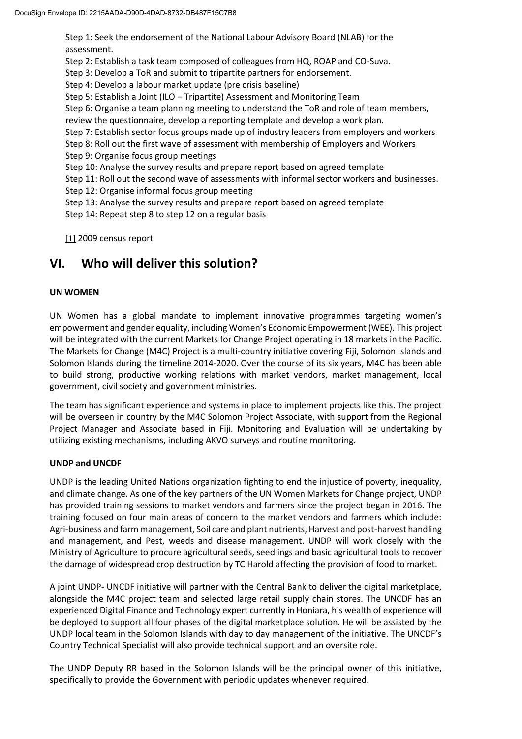Step 1: Seek the endorsement of the National Labour Advisory Board (NLAB) for the assessment.

Step 2: Establish a task team composed of colleagues from HQ, ROAP and CO-Suva.

Step 3: Develop a ToR and submit to tripartite partners for endorsement.

Step 4: Develop a labour market update (pre crisis baseline)

Step 5: Establish a Joint (ILO – Tripartite) Assessment and Monitoring Team

Step 6: Organise a team planning meeting to understand the ToR and role of team members,

review the questionnaire, develop a reporting template and develop a work plan.

- Step 7: Establish sector focus groups made up of industry leaders from employers and workers
- Step 8: Roll out the first wave of assessment with membership of Employers and Workers
- Step 9: Organise focus group meetings
- Step 10: Analyse the survey results and prepare report based on agreed template
- Step 11: Roll out the second wave of assessments with informal sector workers and businesses.
- Step 12: Organise informal focus group meeting
- Step 13: Analyse the survey results and prepare report based on agreed template
- Step 14: Repeat step 8 to step 12 on a regular basis

[\[1\]](https://undp-my.sharepoint.com/personal/hunjai_lee_undp_org/Documents/HJ/Covid/Annex4-Proposal%20Template_Call1_CovidFund_M4C22042020Solsproposal_ED%20(1).doc#_ftnref1) 2009 census report

### **VI. Who will deliver this solution?**

#### **UN WOMEN**

UN Women has a global mandate to implement innovative programmes targeting women's empowerment and gender equality, including Women's Economic Empowerment (WEE). This project will be integrated with the current Markets for Change Project operating in 18 markets in the Pacific. The Markets for Change (M4C) Project is a multi-country initiative covering Fiji, Solomon Islands and Solomon Islands during the timeline 2014-2020. Over the course of its six years, M4C has been able to build strong, productive working relations with market vendors, market management, local government, civil society and government ministries.

The team has significant experience and systems in place to implement projects like this. The project will be overseen in country by the M4C Solomon Project Associate, with support from the Regional Project Manager and Associate based in Fiji. Monitoring and Evaluation will be undertaking by utilizing existing mechanisms, including AKVO surveys and routine monitoring.

#### **UNDP and UNCDF**

UNDP is the leading United Nations organization fighting to end the injustice of poverty, inequality, and climate change. As one of the key partners of the UN Women Markets for Change project, UNDP has provided training sessions to market vendors and farmers since the project began in 2016. The training focused on four main areas of concern to the market vendors and farmers which include: Agri-business and farm management, Soil care and plant nutrients, Harvest and post-harvest handling and management, and Pest, weeds and disease management. UNDP will work closely with the Ministry of Agriculture to procure agricultural seeds, seedlings and basic agricultural tools to recover the damage of widespread crop destruction by TC Harold affecting the provision of food to market.

A joint UNDP- UNCDF initiative will partner with the Central Bank to deliver the digital marketplace, alongside the M4C project team and selected large retail supply chain stores. The UNCDF has an experienced Digital Finance and Technology expert currently in Honiara, his wealth of experience will be deployed to support all four phases of the digital marketplace solution. He will be assisted by the UNDP local team in the Solomon Islands with day to day management of the initiative. The UNCDF's Country Technical Specialist will also provide technical support and an oversite role.

The UNDP Deputy RR based in the Solomon Islands will be the principal owner of this initiative, specifically to provide the Government with periodic updates whenever required.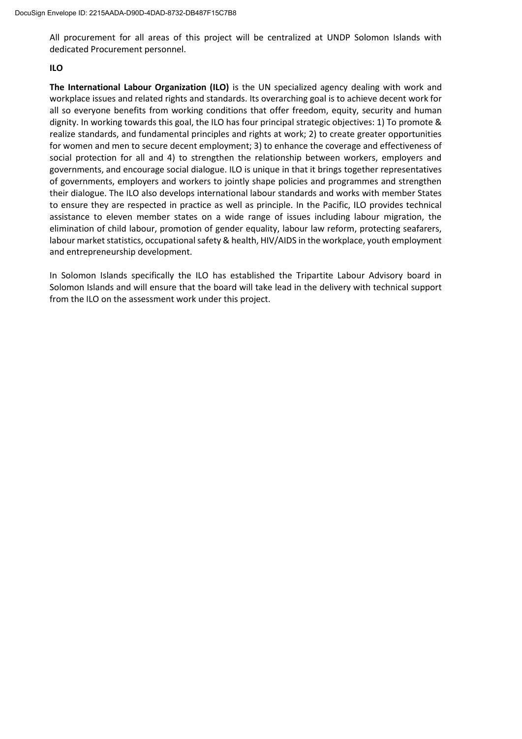All procurement for all areas of this project will be centralized at UNDP Solomon Islands with dedicated Procurement personnel.

#### **ILO**

**The International Labour Organization (ILO)** is the UN specialized agency dealing with work and workplace issues and related rights and standards. Its overarching goal is to achieve decent work for all so everyone benefits from working conditions that offer freedom, equity, security and human dignity. In working towards this goal, the ILO has four principal strategic objectives: 1) To promote & realize standards, and fundamental principles and rights at work; 2) to create greater opportunities for women and men to secure decent employment; 3) to enhance the coverage and effectiveness of social protection for all and 4) to strengthen the relationship between workers, employers and governments, and encourage social dialogue. ILO is unique in that it brings together representatives of governments, employers and workers to jointly shape policies and programmes and strengthen their dialogue. The ILO also develops international labour standards and works with member States to ensure they are respected in practice as well as principle. In the Pacific, ILO provides technical assistance to eleven member states on a wide range of issues including labour migration, the elimination of child labour, promotion of gender equality, labour law reform, protecting seafarers, labour market statistics, occupational safety & health, HIV/AIDS in the workplace, youth employment and entrepreneurship development.

In Solomon Islands specifically the ILO has established the Tripartite Labour Advisory board in Solomon Islands and will ensure that the board will take lead in the delivery with technical support from the ILO on the assessment work under this project.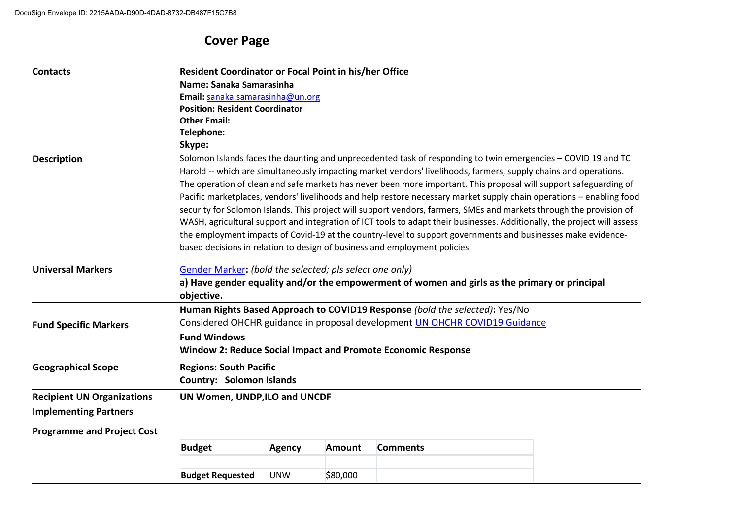# **Cover Page**

| <b>Contacts</b>                                   | <b>Resident Coordinator or Focal Point in his/her Office</b>                                                             |               |               |                                                                                                                      |  |  |  |  |  |
|---------------------------------------------------|--------------------------------------------------------------------------------------------------------------------------|---------------|---------------|----------------------------------------------------------------------------------------------------------------------|--|--|--|--|--|
|                                                   | Name: Sanaka Samarasinha                                                                                                 |               |               |                                                                                                                      |  |  |  |  |  |
|                                                   | Email: sanaka.samarasinha@un.org                                                                                         |               |               |                                                                                                                      |  |  |  |  |  |
|                                                   | <b>Position: Resident Coordinator</b>                                                                                    |               |               |                                                                                                                      |  |  |  |  |  |
|                                                   | <b>Other Email:</b>                                                                                                      |               |               |                                                                                                                      |  |  |  |  |  |
|                                                   | Telephone:                                                                                                               |               |               |                                                                                                                      |  |  |  |  |  |
|                                                   | Skype:                                                                                                                   |               |               |                                                                                                                      |  |  |  |  |  |
| <b>Description</b>                                |                                                                                                                          |               |               | Solomon Islands faces the daunting and unprecedented task of responding to twin emergencies - COVID 19 and TC        |  |  |  |  |  |
|                                                   |                                                                                                                          |               |               | Harold -- which are simultaneously impacting market vendors' livelihoods, farmers, supply chains and operations.     |  |  |  |  |  |
|                                                   |                                                                                                                          |               |               | The operation of clean and safe markets has never been more important. This proposal will support safeguarding of    |  |  |  |  |  |
|                                                   |                                                                                                                          |               |               | Pacific marketplaces, vendors' livelihoods and help restore necessary market supply chain operations - enabling food |  |  |  |  |  |
|                                                   | security for Solomon Islands. This project will support vendors, farmers, SMEs and markets through the provision of      |               |               |                                                                                                                      |  |  |  |  |  |
|                                                   | WASH, agricultural support and integration of ICT tools to adapt their businesses. Additionally, the project will assess |               |               |                                                                                                                      |  |  |  |  |  |
|                                                   | the employment impacts of Covid-19 at the country-level to support governments and businesses make evidence-             |               |               |                                                                                                                      |  |  |  |  |  |
|                                                   |                                                                                                                          |               |               | based decisions in relation to design of business and employment policies.                                           |  |  |  |  |  |
| <b>Universal Markers</b>                          | Gender Marker: (bold the selected; pls select one only)                                                                  |               |               |                                                                                                                      |  |  |  |  |  |
|                                                   | a) Have gender equality and/or the empowerment of women and girls as the primary or principal<br>objective.              |               |               |                                                                                                                      |  |  |  |  |  |
|                                                   |                                                                                                                          |               |               | Human Rights Based Approach to COVID19 Response (bold the selected): Yes/No                                          |  |  |  |  |  |
| <b>Fund Specific Markers</b>                      | Considered OHCHR guidance in proposal development UN OHCHR COVID19 Guidance                                              |               |               |                                                                                                                      |  |  |  |  |  |
|                                                   | <b>Fund Windows</b>                                                                                                      |               |               |                                                                                                                      |  |  |  |  |  |
|                                                   |                                                                                                                          |               |               | <b>Window 2: Reduce Social Impact and Promote Economic Response</b>                                                  |  |  |  |  |  |
| <b>Geographical Scope</b>                         | <b>Regions: South Pacific</b>                                                                                            |               |               |                                                                                                                      |  |  |  |  |  |
|                                                   | <b>Country: Solomon Islands</b>                                                                                          |               |               |                                                                                                                      |  |  |  |  |  |
| <b>Recipient UN Organizations</b>                 | UN Women, UNDP, ILO and UNCDF                                                                                            |               |               |                                                                                                                      |  |  |  |  |  |
| <b>Implementing Partners</b>                      |                                                                                                                          |               |               |                                                                                                                      |  |  |  |  |  |
| <b>Programme and Project Cost</b>                 |                                                                                                                          |               |               |                                                                                                                      |  |  |  |  |  |
|                                                   | <b>Budget</b>                                                                                                            | <b>Agency</b> | <b>Amount</b> | <b>Comments</b>                                                                                                      |  |  |  |  |  |
| <b>Budget Requested</b><br>\$80,000<br><b>UNW</b> |                                                                                                                          |               |               |                                                                                                                      |  |  |  |  |  |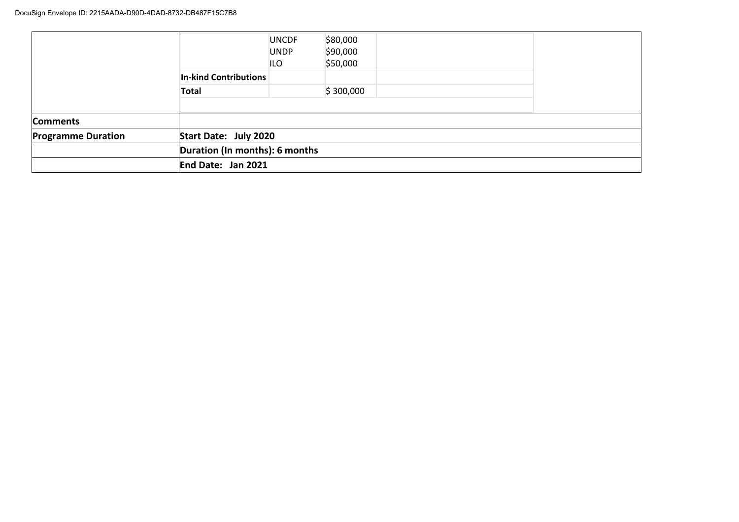|                           |                                | <b>UNCDF</b><br><b>UNDP</b><br>ILO | \$80,000<br>\$90,000<br>\$50,000 |  |  |
|---------------------------|--------------------------------|------------------------------------|----------------------------------|--|--|
|                           | <b>In-kind Contributions</b>   |                                    |                                  |  |  |
|                           | Total                          |                                    | \$300,000                        |  |  |
|                           |                                |                                    |                                  |  |  |
| <b>Comments</b>           |                                |                                    |                                  |  |  |
| <b>Programme Duration</b> | Start Date: July 2020          |                                    |                                  |  |  |
|                           | Duration (In months): 6 months |                                    |                                  |  |  |
|                           | End Date: Jan 2021             |                                    |                                  |  |  |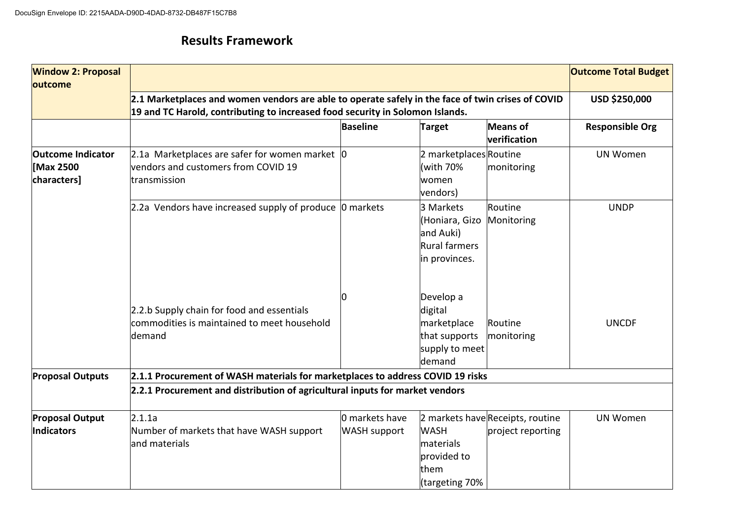### **Results Framework**

| <b>Window 2: Proposal</b><br>outcome                |                                                                                                                                                                                    |                                       |                                                                                  |                                                       | <b>Outcome Total Budget</b> |  |  |  |  |
|-----------------------------------------------------|------------------------------------------------------------------------------------------------------------------------------------------------------------------------------------|---------------------------------------|----------------------------------------------------------------------------------|-------------------------------------------------------|-----------------------------|--|--|--|--|
|                                                     | 2.1 Marketplaces and women vendors are able to operate safely in the face of twin crises of COVID<br>19 and TC Harold, contributing to increased food security in Solomon Islands. | USD \$250,000                         |                                                                                  |                                                       |                             |  |  |  |  |
|                                                     |                                                                                                                                                                                    | <b>Baseline</b>                       | <b>Target</b>                                                                    | <b>Means of</b><br>verification                       | <b>Responsible Org</b>      |  |  |  |  |
| <b>Outcome Indicator</b><br>Max 2500<br>characters] | 2.1a Marketplaces are safer for women market 0<br>vendors and customers from COVID 19<br>transmission                                                                              |                                       | 2 marketplacesRoutine<br>(with 70%<br>lwomen<br>vendors)                         | monitoring                                            | <b>UN Women</b>             |  |  |  |  |
|                                                     | 2.2a Vendors have increased supply of produce 0 markets                                                                                                                            |                                       | 3 Markets<br>(Honiara, Gizo<br>and Auki)<br>Rural farmers<br>in provinces.       | Routine<br>Monitoring                                 | <b>UNDP</b>                 |  |  |  |  |
|                                                     | 2.2.b Supply chain for food and essentials<br>commodities is maintained to meet household<br>demand                                                                                |                                       | Develop a<br>digital<br>marketplace<br>that supports<br>supply to meet<br>demand | Routine<br>monitoring                                 | <b>UNCDF</b>                |  |  |  |  |
| <b>Proposal Outputs</b>                             | 2.1.1 Procurement of WASH materials for marketplaces to address COVID 19 risks                                                                                                     |                                       |                                                                                  |                                                       |                             |  |  |  |  |
|                                                     | 2.2.1 Procurement and distribution of agricultural inputs for market vendors                                                                                                       |                                       |                                                                                  |                                                       |                             |  |  |  |  |
| <b>Proposal Output</b><br>Indicators                | 2.1.1a<br>Number of markets that have WASH support<br>and materials                                                                                                                | 0 markets have<br><b>WASH support</b> | <b>WASH</b><br>materials<br>provided to<br>them<br>targeting 70%                 | 2 markets have Receipts, routine<br>project reporting | <b>UN Women</b>             |  |  |  |  |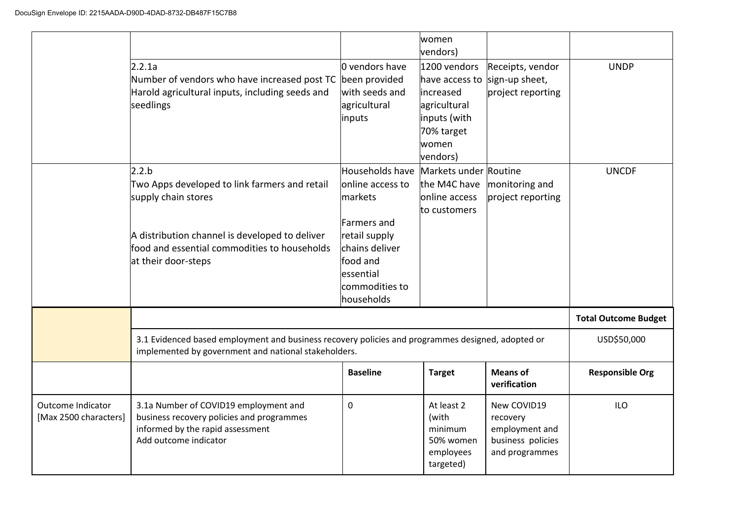|                                            |                                                                                                                                                                                                        |                                                                                                                                             | women<br>vendors)                                                                                              |                                                                                  |                             |
|--------------------------------------------|--------------------------------------------------------------------------------------------------------------------------------------------------------------------------------------------------------|---------------------------------------------------------------------------------------------------------------------------------------------|----------------------------------------------------------------------------------------------------------------|----------------------------------------------------------------------------------|-----------------------------|
|                                            | 2.2.1a<br>Number of vendors who have increased post TC<br>Harold agricultural inputs, including seeds and<br>seedlings                                                                                 | l0 vendors have<br>been provided<br>with seeds and<br>agricultural<br>inputs                                                                | 1200 vendors<br>have access to<br>increased<br>agricultural<br>inputs (with<br>70% target<br>women<br>vendors) | Receipts, vendor<br>sign-up sheet,<br>project reporting                          | <b>UNDP</b>                 |
|                                            | 2.2.b<br>Two Apps developed to link farmers and retail<br>supply chain stores<br>A distribution channel is developed to deliver<br>food and essential commodities to households<br>at their door-steps | Households have<br>online access to<br>markets<br>Farmers and<br>retail supply<br>chains deliver<br>food and<br>essential<br>commodities to | Markets under Routine<br>the M4C have<br>online access<br>to customers                                         | monitoring and<br>project reporting                                              | <b>UNCDF</b>                |
|                                            |                                                                                                                                                                                                        | households                                                                                                                                  |                                                                                                                |                                                                                  | <b>Total Outcome Budget</b> |
|                                            | 3.1 Evidenced based employment and business recovery policies and programmes designed, adopted or<br>implemented by government and national stakeholders.                                              | USD\$50,000                                                                                                                                 |                                                                                                                |                                                                                  |                             |
|                                            |                                                                                                                                                                                                        | <b>Baseline</b>                                                                                                                             | <b>Target</b>                                                                                                  | <b>Means of</b><br>verification                                                  | <b>Responsible Org</b>      |
| Outcome Indicator<br>[Max 2500 characters] | 3.1a Number of COVID19 employment and<br>business recovery policies and programmes<br>informed by the rapid assessment<br>Add outcome indicator                                                        | $\mathbf 0$                                                                                                                                 | At least 2<br>(with<br>minimum<br>50% women<br>employees<br>targeted)                                          | New COVID19<br>recovery<br>employment and<br>business policies<br>and programmes | <b>ILO</b>                  |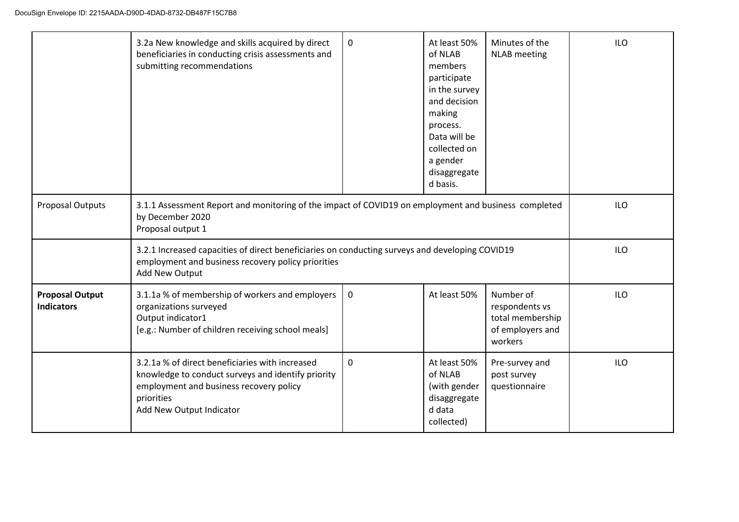|                                             | 3.2a New knowledge and skills acquired by direct<br>beneficiaries in conducting crisis assessments and<br>submitting recommendations                                                       | 0                                                                                               | At least 50%<br>of NLAB<br>members<br>participate<br>in the survey<br>and decision<br>making<br>process.<br>Data will be<br>collected on<br>a gender<br>disaggregate<br>d basis. | Minutes of the<br><b>NLAB</b> meeting                                          | <b>ILO</b> |  |  |
|---------------------------------------------|--------------------------------------------------------------------------------------------------------------------------------------------------------------------------------------------|-------------------------------------------------------------------------------------------------|----------------------------------------------------------------------------------------------------------------------------------------------------------------------------------|--------------------------------------------------------------------------------|------------|--|--|
| <b>Proposal Outputs</b>                     | 3.1.1 Assessment Report and monitoring of the impact of COVID19 on employment and business completed<br>by December 2020<br>Proposal output 1                                              | <b>ILO</b>                                                                                      |                                                                                                                                                                                  |                                                                                |            |  |  |
|                                             | employment and business recovery policy priorities<br>Add New Output                                                                                                                       | 3.2.1 Increased capacities of direct beneficiaries on conducting surveys and developing COVID19 |                                                                                                                                                                                  |                                                                                |            |  |  |
| <b>Proposal Output</b><br><b>Indicators</b> | 3.1.1a % of membership of workers and employers<br>organizations surveyed<br>Output indicator1<br>[e.g.: Number of children receiving school meals]                                        | 0                                                                                               | At least 50%                                                                                                                                                                     | Number of<br>respondents vs<br>total membership<br>of employers and<br>workers | <b>ILO</b> |  |  |
|                                             | 3.2.1a % of direct beneficiaries with increased<br>knowledge to conduct surveys and identify priority<br>employment and business recovery policy<br>priorities<br>Add New Output Indicator | 0                                                                                               | At least 50%<br>of NLAB<br>(with gender<br>disaggregate<br>d data<br>collected)                                                                                                  | Pre-survey and<br>post survey<br>questionnaire                                 | <b>ILO</b> |  |  |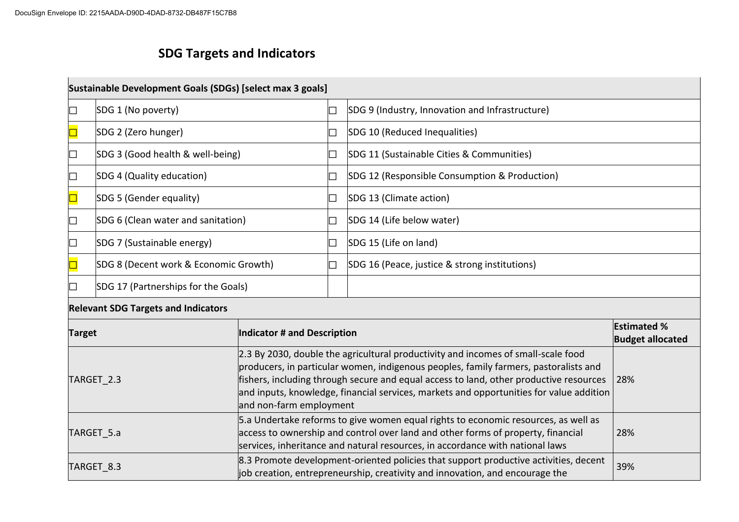# **SDG Targets and Indicators**

|               | Sustainable Development Goals (SDGs) [select max 3 goals] |                                                                                                                                                                                                                                                                                                                                                                |                                                 |  |  |  |
|---------------|-----------------------------------------------------------|----------------------------------------------------------------------------------------------------------------------------------------------------------------------------------------------------------------------------------------------------------------------------------------------------------------------------------------------------------------|-------------------------------------------------|--|--|--|
| IП            | SDG 1 (No poverty)                                        |                                                                                                                                                                                                                                                                                                                                                                | SDG 9 (Industry, Innovation and Infrastructure) |  |  |  |
|               | SDG 2 (Zero hunger)                                       |                                                                                                                                                                                                                                                                                                                                                                | SDG 10 (Reduced Inequalities)                   |  |  |  |
|               | SDG 3 (Good health & well-being)                          |                                                                                                                                                                                                                                                                                                                                                                | SDG 11 (Sustainable Cities & Communities)       |  |  |  |
| ப             | SDG 4 (Quality education)                                 |                                                                                                                                                                                                                                                                                                                                                                | SDG 12 (Responsible Consumption & Production)   |  |  |  |
|               | SDG 5 (Gender equality)                                   |                                                                                                                                                                                                                                                                                                                                                                | SDG 13 (Climate action)                         |  |  |  |
| IП            | SDG 6 (Clean water and sanitation)                        |                                                                                                                                                                                                                                                                                                                                                                | SDG 14 (Life below water)                       |  |  |  |
|               | SDG 7 (Sustainable energy)                                |                                                                                                                                                                                                                                                                                                                                                                | SDG 15 (Life on land)                           |  |  |  |
|               | SDG 8 (Decent work & Economic Growth)                     |                                                                                                                                                                                                                                                                                                                                                                | SDG 16 (Peace, justice & strong institutions)   |  |  |  |
|               | SDG 17 (Partnerships for the Goals)                       |                                                                                                                                                                                                                                                                                                                                                                |                                                 |  |  |  |
|               | <b>Relevant SDG Targets and Indicators</b>                |                                                                                                                                                                                                                                                                                                                                                                |                                                 |  |  |  |
| <b>Target</b> |                                                           | Indicator # and Description                                                                                                                                                                                                                                                                                                                                    | <b>Estimated %</b><br><b>Budget allocated</b>   |  |  |  |
| TARGET_2.3    |                                                           | 2.3 By 2030, double the agricultural productivity and incomes of small-scale food<br>producers, in particular women, indigenous peoples, family farmers, pastoralists and<br>fishers, including through secure and equal access to land, other productive resources<br>and inputs, knowledge, financial services, markets and opportunities for value addition | 28%                                             |  |  |  |

|            | and inputs, knowledge, financial services, markets and opportunities for value addition |     |
|------------|-----------------------------------------------------------------------------------------|-----|
|            | and non-farm employment                                                                 |     |
|            | 5. S.a Undertake reforms to give women equal rights to economic resources, as well as   |     |
| TARGET 5.a | access to ownership and control over land and other forms of property, financial        | 28% |
|            | services, inheritance and natural resources, in accordance with national laws           |     |
| TARGET 8.3 | 8.3 Promote development-oriented policies that support productive activities, decent    | 39% |
|            | job creation, entrepreneurship, creativity and innovation, and encourage the            |     |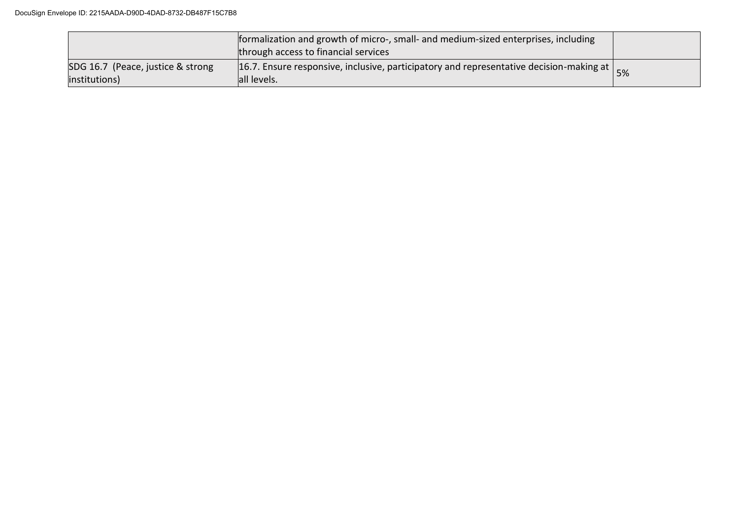|                                                    | formalization and growth of micro-, small- and medium-sized enterprises, including<br>through access to financial services |  |
|----------------------------------------------------|----------------------------------------------------------------------------------------------------------------------------|--|
| SDG 16.7 (Peace, justice & strong<br>institutions) | 16.7. Ensure responsive, inclusive, participatory and representative decision-making at $\vert$ 5%<br>all levels.          |  |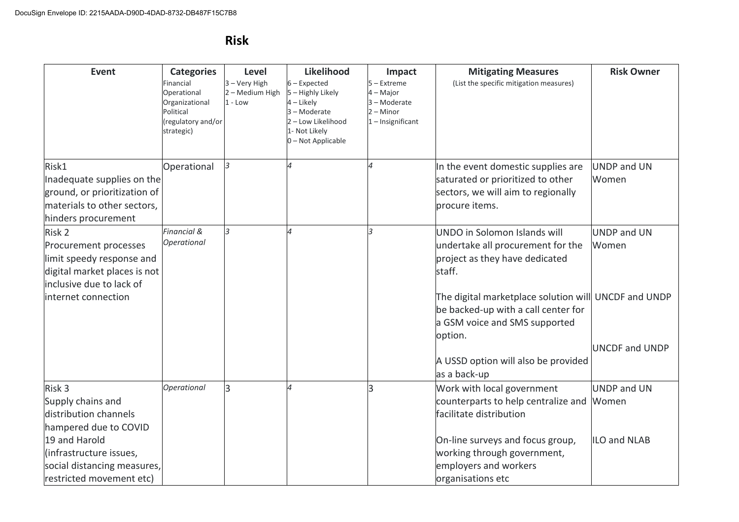## **Risk**

| <b>Event</b>                                                                                                                                                                         | <b>Categories</b><br>inancial<br>Operational<br>Organizational<br>Political<br>regulatory and/or<br>strategic) | Level<br>3 - Very High<br>2 - Medium High<br>$1 - Low$ | Likelihood<br>$6$ – Expected<br>5 - Highly Likely<br>4 – Likely<br>3-Moderate<br>2 - Low Likelihood<br>1- Not Likely<br>0 - Not Applicable | Impact<br>$5 -$ Extreme<br>4 - Major<br>3 - Moderate<br>$2 -$ Minor<br>$1$ – Insignificant | <b>Mitigating Measures</b><br>(List the specific mitigation measures)                                                                                                                                                                                                                                           | <b>Risk Owner</b>                             |
|--------------------------------------------------------------------------------------------------------------------------------------------------------------------------------------|----------------------------------------------------------------------------------------------------------------|--------------------------------------------------------|--------------------------------------------------------------------------------------------------------------------------------------------|--------------------------------------------------------------------------------------------|-----------------------------------------------------------------------------------------------------------------------------------------------------------------------------------------------------------------------------------------------------------------------------------------------------------------|-----------------------------------------------|
| Risk1<br>Inadequate supplies on the<br>ground, or prioritization of<br>materials to other sectors,<br>hinders procurement                                                            | Operational                                                                                                    | 3                                                      | $\overline{\mathcal{A}}$                                                                                                                   | 4                                                                                          | In the event domestic supplies are<br>saturated or prioritized to other<br>sectors, we will aim to regionally<br>procure items.                                                                                                                                                                                 | <b>UNDP and UN</b><br>Women                   |
| Risk 2<br>Procurement processes<br>limit speedy response and<br>digital market places is not<br>inclusive due to lack of<br>linternet connection                                     | Financial &<br><b>Operational</b>                                                                              |                                                        |                                                                                                                                            | $\overline{\mathbf{3}}$                                                                    | UNDO in Solomon Islands will<br>undertake all procurement for the<br>project as they have dedicated<br>staff.<br>The digital marketplace solution will UNCDF and UNDP<br>be backed-up with a call center for<br>a GSM voice and SMS supported<br>option.<br>A USSD option will also be provided<br>as a back-up | UNDP and UN<br>Women<br><b>UNCDF and UNDP</b> |
| Risk 3<br>Supply chains and<br>distribution channels<br>hampered due to COVID<br>19 and Harold<br>(infrastructure issues,<br>social distancing measures,<br>restricted movement etc) | Operational                                                                                                    | 3                                                      | $\overline{\mathcal{A}}$                                                                                                                   | 3                                                                                          | Work with local government<br>counterparts to help centralize and<br>facilitate distribution<br>On-line surveys and focus group,<br>working through government,<br>employers and workers<br>organisations etc                                                                                                   | <b>UNDP</b> and UN<br>Women<br>ILO and NLAB   |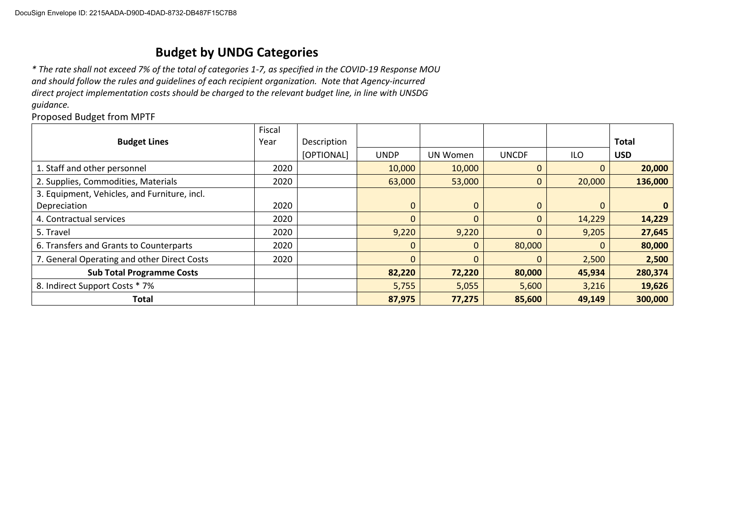## **Budget by UNDG Categories**

*\* The rate shall not exceed 7% of the total of categories 1-7, as specified in the COVID-19 Response MOU and should follow the rules and guidelines of each recipient organization. Note that Agency-incurred direct project implementation costs should be charged to the relevant budget line, in line with UNSDG guidance.*

Proposed Budget from MPTF

|                                              | Fiscal |             |             |              |              |            |              |
|----------------------------------------------|--------|-------------|-------------|--------------|--------------|------------|--------------|
| <b>Budget Lines</b>                          | Year   | Description |             |              |              |            | <b>Total</b> |
|                                              |        | [OPTIONAL]  | <b>UNDP</b> | UN Women     | <b>UNCDF</b> | <b>ILO</b> | <b>USD</b>   |
| 1. Staff and other personnel                 | 2020   |             | 10,000      | 10,000       | 0            | 0          | 20,000       |
| 2. Supplies, Commodities, Materials          | 2020   |             | 63,000      | 53,000       | 0            | 20,000     | 136,000      |
| 3. Equipment, Vehicles, and Furniture, incl. |        |             |             |              |              |            |              |
| Depreciation                                 | 2020   |             | $\mathbf 0$ | $\mathbf{0}$ | $\Omega$     | $\Omega$   | 0            |
| 4. Contractual services                      | 2020   |             | $\mathbf 0$ | 0            | 0            | 14,229     | 14,229       |
| 5. Travel                                    | 2020   |             | 9,220       | 9,220        | 0            | 9,205      | 27,645       |
| 6. Transfers and Grants to Counterparts      | 2020   |             | $\mathbf 0$ | $\Omega$     | 80,000       | $\Omega$   | 80,000       |
| 7. General Operating and other Direct Costs  | 2020   |             | $\Omega$    | $\Omega$     | 0            | 2,500      | 2,500        |
| <b>Sub Total Programme Costs</b>             |        |             | 82,220      | 72,220       | 80,000       | 45,934     | 280,374      |
| 8. Indirect Support Costs * 7%               |        |             | 5,755       | 5,055        | 5,600        | 3,216      | 19,626       |
| <b>Total</b>                                 |        |             | 87,975      | 77,275       | 85,600       | 49,149     | 300,000      |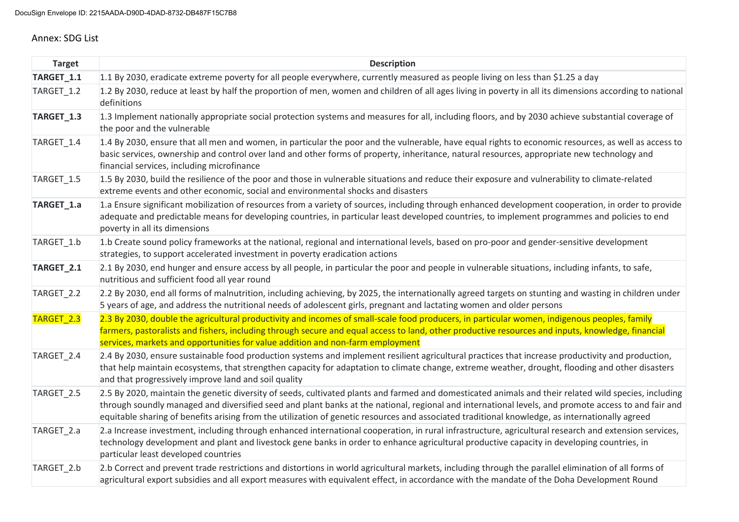#### Annex: SDG List

| <b>Target</b>         | <b>Description</b>                                                                                                                                                                                                                                                                                                                                                                                                                                              |
|-----------------------|-----------------------------------------------------------------------------------------------------------------------------------------------------------------------------------------------------------------------------------------------------------------------------------------------------------------------------------------------------------------------------------------------------------------------------------------------------------------|
| TARGET_1.1            | 1.1 By 2030, eradicate extreme poverty for all people everywhere, currently measured as people living on less than \$1.25 a day                                                                                                                                                                                                                                                                                                                                 |
| TARGET_1.2            | 1.2 By 2030, reduce at least by half the proportion of men, women and children of all ages living in poverty in all its dimensions according to national<br>definitions                                                                                                                                                                                                                                                                                         |
| TARGET <sub>1.3</sub> | 1.3 Implement nationally appropriate social protection systems and measures for all, including floors, and by 2030 achieve substantial coverage of<br>the poor and the vulnerable                                                                                                                                                                                                                                                                               |
| TARGET_1.4            | 1.4 By 2030, ensure that all men and women, in particular the poor and the vulnerable, have equal rights to economic resources, as well as access to<br>basic services, ownership and control over land and other forms of property, inheritance, natural resources, appropriate new technology and<br>financial services, including microfinance                                                                                                               |
| TARGET_1.5            | 1.5 By 2030, build the resilience of the poor and those in vulnerable situations and reduce their exposure and vulnerability to climate-related<br>extreme events and other economic, social and environmental shocks and disasters                                                                                                                                                                                                                             |
| TARGET_1.a            | 1.a Ensure significant mobilization of resources from a variety of sources, including through enhanced development cooperation, in order to provide<br>adequate and predictable means for developing countries, in particular least developed countries, to implement programmes and policies to end<br>poverty in all its dimensions                                                                                                                           |
| TARGET 1.b            | 1.b Create sound policy frameworks at the national, regional and international levels, based on pro-poor and gender-sensitive development<br>strategies, to support accelerated investment in poverty eradication actions                                                                                                                                                                                                                                       |
| TARGET_2.1            | 2.1 By 2030, end hunger and ensure access by all people, in particular the poor and people in vulnerable situations, including infants, to safe,<br>nutritious and sufficient food all year round                                                                                                                                                                                                                                                               |
| TARGET_2.2            | 2.2 By 2030, end all forms of malnutrition, including achieving, by 2025, the internationally agreed targets on stunting and wasting in children under<br>5 years of age, and address the nutritional needs of adolescent girls, pregnant and lactating women and older persons                                                                                                                                                                                 |
| <b>TARGET 2.3</b>     | 2.3 By 2030, double the agricultural productivity and incomes of small-scale food producers, in particular women, indigenous peoples, family<br>farmers, pastoralists and fishers, including through secure and equal access to land, other productive resources and inputs, knowledge, financial<br>services, markets and opportunities for value addition and non-farm employment                                                                             |
| TARGET_2.4            | 2.4 By 2030, ensure sustainable food production systems and implement resilient agricultural practices that increase productivity and production,<br>that help maintain ecosystems, that strengthen capacity for adaptation to climate change, extreme weather, drought, flooding and other disasters<br>and that progressively improve land and soil quality                                                                                                   |
| TARGET_2.5            | 2.5 By 2020, maintain the genetic diversity of seeds, cultivated plants and farmed and domesticated animals and their related wild species, including<br>through soundly managed and diversified seed and plant banks at the national, regional and international levels, and promote access to and fair and<br>equitable sharing of benefits arising from the utilization of genetic resources and associated traditional knowledge, as internationally agreed |
| TARGET_2.a            | 2.a Increase investment, including through enhanced international cooperation, in rural infrastructure, agricultural research and extension services,<br>technology development and plant and livestock gene banks in order to enhance agricultural productive capacity in developing countries, in<br>particular least developed countries                                                                                                                     |
| TARGET 2.b            | 2.b Correct and prevent trade restrictions and distortions in world agricultural markets, including through the parallel elimination of all forms of<br>agricultural export subsidies and all export measures with equivalent effect, in accordance with the mandate of the Doha Development Round                                                                                                                                                              |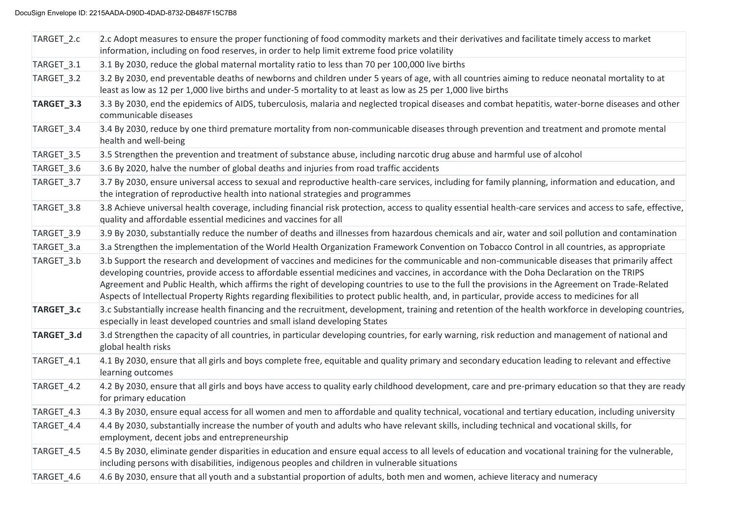| TARGET_2.c | 2.c Adopt measures to ensure the proper functioning of food commodity markets and their derivatives and facilitate timely access to market<br>information, including on food reserves, in order to help limit extreme food price volatility                                                                                                                                                                                                                                                                                                                                                       |
|------------|---------------------------------------------------------------------------------------------------------------------------------------------------------------------------------------------------------------------------------------------------------------------------------------------------------------------------------------------------------------------------------------------------------------------------------------------------------------------------------------------------------------------------------------------------------------------------------------------------|
| TARGET_3.1 | 3.1 By 2030, reduce the global maternal mortality ratio to less than 70 per 100,000 live births                                                                                                                                                                                                                                                                                                                                                                                                                                                                                                   |
| TARGET_3.2 | 3.2 By 2030, end preventable deaths of newborns and children under 5 years of age, with all countries aiming to reduce neonatal mortality to at<br>least as low as 12 per 1,000 live births and under-5 mortality to at least as low as 25 per 1,000 live births                                                                                                                                                                                                                                                                                                                                  |
| TARGET_3.3 | 3.3 By 2030, end the epidemics of AIDS, tuberculosis, malaria and neglected tropical diseases and combat hepatitis, water-borne diseases and other<br>communicable diseases                                                                                                                                                                                                                                                                                                                                                                                                                       |
| TARGET_3.4 | 3.4 By 2030, reduce by one third premature mortality from non-communicable diseases through prevention and treatment and promote mental<br>health and well-being                                                                                                                                                                                                                                                                                                                                                                                                                                  |
| TARGET_3.5 | 3.5 Strengthen the prevention and treatment of substance abuse, including narcotic drug abuse and harmful use of alcohol                                                                                                                                                                                                                                                                                                                                                                                                                                                                          |
| TARGET_3.6 | 3.6 By 2020, halve the number of global deaths and injuries from road traffic accidents                                                                                                                                                                                                                                                                                                                                                                                                                                                                                                           |
| TARGET_3.7 | 3.7 By 2030, ensure universal access to sexual and reproductive health-care services, including for family planning, information and education, and<br>the integration of reproductive health into national strategies and programmes                                                                                                                                                                                                                                                                                                                                                             |
| TARGET_3.8 | 3.8 Achieve universal health coverage, including financial risk protection, access to quality essential health-care services and access to safe, effective,<br>quality and affordable essential medicines and vaccines for all                                                                                                                                                                                                                                                                                                                                                                    |
| TARGET_3.9 | 3.9 By 2030, substantially reduce the number of deaths and illnesses from hazardous chemicals and air, water and soil pollution and contamination                                                                                                                                                                                                                                                                                                                                                                                                                                                 |
| TARGET_3.a | 3.a Strengthen the implementation of the World Health Organization Framework Convention on Tobacco Control in all countries, as appropriate                                                                                                                                                                                                                                                                                                                                                                                                                                                       |
| TARGET_3.b | 3.b Support the research and development of vaccines and medicines for the communicable and non-communicable diseases that primarily affect<br>developing countries, provide access to affordable essential medicines and vaccines, in accordance with the Doha Declaration on the TRIPS<br>Agreement and Public Health, which affirms the right of developing countries to use to the full the provisions in the Agreement on Trade-Related<br>Aspects of Intellectual Property Rights regarding flexibilities to protect public health, and, in particular, provide access to medicines for all |
| TARGET_3.c | 3.c Substantially increase health financing and the recruitment, development, training and retention of the health workforce in developing countries,<br>especially in least developed countries and small island developing States                                                                                                                                                                                                                                                                                                                                                               |
| TARGET_3.d | 3.d Strengthen the capacity of all countries, in particular developing countries, for early warning, risk reduction and management of national and<br>global health risks                                                                                                                                                                                                                                                                                                                                                                                                                         |
| TARGET_4.1 | 4.1 By 2030, ensure that all girls and boys complete free, equitable and quality primary and secondary education leading to relevant and effective<br>learning outcomes                                                                                                                                                                                                                                                                                                                                                                                                                           |
| TARGET_4.2 | 4.2 By 2030, ensure that all girls and boys have access to quality early childhood development, care and pre-primary education so that they are ready<br>for primary education                                                                                                                                                                                                                                                                                                                                                                                                                    |
| TARGET_4.3 | 4.3 By 2030, ensure equal access for all women and men to affordable and quality technical, vocational and tertiary education, including university                                                                                                                                                                                                                                                                                                                                                                                                                                               |
| TARGET_4.4 | 4.4 By 2030, substantially increase the number of youth and adults who have relevant skills, including technical and vocational skills, for<br>employment, decent jobs and entrepreneurship                                                                                                                                                                                                                                                                                                                                                                                                       |
| TARGET_4.5 | 4.5 By 2030, eliminate gender disparities in education and ensure equal access to all levels of education and vocational training for the vulnerable,<br>including persons with disabilities, indigenous peoples and children in vulnerable situations                                                                                                                                                                                                                                                                                                                                            |
| TARGET_4.6 | 4.6 By 2030, ensure that all youth and a substantial proportion of adults, both men and women, achieve literacy and numeracy                                                                                                                                                                                                                                                                                                                                                                                                                                                                      |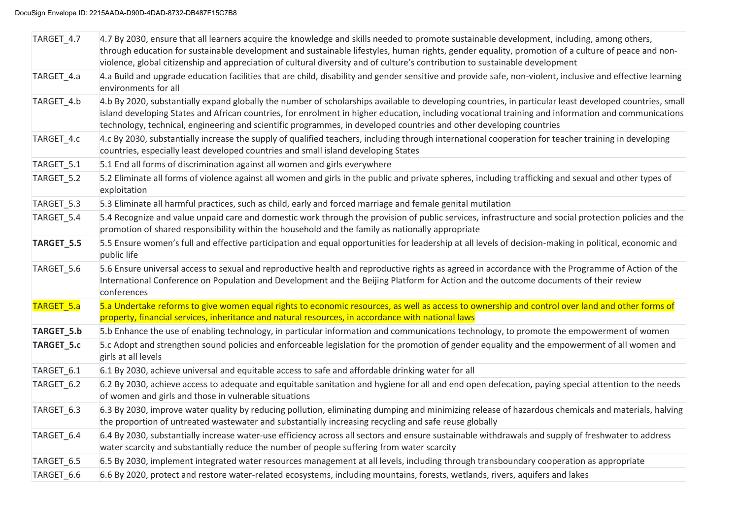| TARGET_4.7        | 4.7 By 2030, ensure that all learners acquire the knowledge and skills needed to promote sustainable development, including, among others,<br>through education for sustainable development and sustainable lifestyles, human rights, gender equality, promotion of a culture of peace and non-<br>violence, global citizenship and appreciation of cultural diversity and of culture's contribution to sustainable development       |
|-------------------|---------------------------------------------------------------------------------------------------------------------------------------------------------------------------------------------------------------------------------------------------------------------------------------------------------------------------------------------------------------------------------------------------------------------------------------|
| TARGET_4.a        | 4.a Build and upgrade education facilities that are child, disability and gender sensitive and provide safe, non-violent, inclusive and effective learning<br>environments for all                                                                                                                                                                                                                                                    |
| TARGET_4.b        | 4.b By 2020, substantially expand globally the number of scholarships available to developing countries, in particular least developed countries, small<br>island developing States and African countries, for enrolment in higher education, including vocational training and information and communications<br>technology, technical, engineering and scientific programmes, in developed countries and other developing countries |
| TARGET 4.c        | 4.c By 2030, substantially increase the supply of qualified teachers, including through international cooperation for teacher training in developing<br>countries, especially least developed countries and small island developing States                                                                                                                                                                                            |
| TARGET_5.1        | 5.1 End all forms of discrimination against all women and girls everywhere                                                                                                                                                                                                                                                                                                                                                            |
| TARGET_5.2        | 5.2 Eliminate all forms of violence against all women and girls in the public and private spheres, including trafficking and sexual and other types of<br>exploitation                                                                                                                                                                                                                                                                |
| TARGET_5.3        | 5.3 Eliminate all harmful practices, such as child, early and forced marriage and female genital mutilation                                                                                                                                                                                                                                                                                                                           |
| TARGET_5.4        | 5.4 Recognize and value unpaid care and domestic work through the provision of public services, infrastructure and social protection policies and the<br>promotion of shared responsibility within the household and the family as nationally appropriate                                                                                                                                                                             |
| TARGET_5.5        | 5.5 Ensure women's full and effective participation and equal opportunities for leadership at all levels of decision-making in political, economic and<br>public life                                                                                                                                                                                                                                                                 |
| TARGET_5.6        | 5.6 Ensure universal access to sexual and reproductive health and reproductive rights as agreed in accordance with the Programme of Action of the<br>International Conference on Population and Development and the Beijing Platform for Action and the outcome documents of their review<br>conferences                                                                                                                              |
| <b>TARGET 5.a</b> | 5.a Undertake reforms to give women equal rights to economic resources, as well as access to ownership and control over land and other forms of<br>property, financial services, inheritance and natural resources, in accordance with national laws                                                                                                                                                                                  |
| TARGET_5.b        | 5.b Enhance the use of enabling technology, in particular information and communications technology, to promote the empowerment of women                                                                                                                                                                                                                                                                                              |
| TARGET_5.c        | 5.c Adopt and strengthen sound policies and enforceable legislation for the promotion of gender equality and the empowerment of all women and<br>girls at all levels                                                                                                                                                                                                                                                                  |
| TARGET_6.1        | 6.1 By 2030, achieve universal and equitable access to safe and affordable drinking water for all                                                                                                                                                                                                                                                                                                                                     |
| TARGET_6.2        | 6.2 By 2030, achieve access to adequate and equitable sanitation and hygiene for all and end open defecation, paying special attention to the needs<br>of women and girls and those in vulnerable situations                                                                                                                                                                                                                          |
| TARGET_6.3        | 6.3 By 2030, improve water quality by reducing pollution, eliminating dumping and minimizing release of hazardous chemicals and materials, halving<br>the proportion of untreated wastewater and substantially increasing recycling and safe reuse globally                                                                                                                                                                           |
| TARGET_6.4        | 6.4 By 2030, substantially increase water-use efficiency across all sectors and ensure sustainable withdrawals and supply of freshwater to address<br>water scarcity and substantially reduce the number of people suffering from water scarcity                                                                                                                                                                                      |
| TARGET_6.5        | 6.5 By 2030, implement integrated water resources management at all levels, including through transboundary cooperation as appropriate                                                                                                                                                                                                                                                                                                |
| TARGET_6.6        | 6.6 By 2020, protect and restore water-related ecosystems, including mountains, forests, wetlands, rivers, aquifers and lakes                                                                                                                                                                                                                                                                                                         |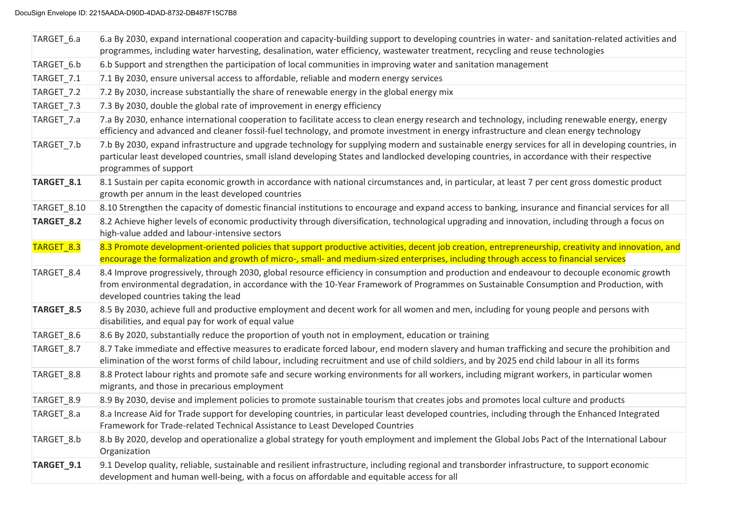| TARGET_6.a            | 6.a By 2030, expand international cooperation and capacity-building support to developing countries in water- and sanitation-related activities and<br>programmes, including water harvesting, desalination, water efficiency, wastewater treatment, recycling and reuse technologies                                        |
|-----------------------|------------------------------------------------------------------------------------------------------------------------------------------------------------------------------------------------------------------------------------------------------------------------------------------------------------------------------|
| TARGET_6.b            | 6.b Support and strengthen the participation of local communities in improving water and sanitation management                                                                                                                                                                                                               |
| TARGET_7.1            | 7.1 By 2030, ensure universal access to affordable, reliable and modern energy services                                                                                                                                                                                                                                      |
| TARGET_7.2            | 7.2 By 2030, increase substantially the share of renewable energy in the global energy mix                                                                                                                                                                                                                                   |
| TARGET_7.3            | 7.3 By 2030, double the global rate of improvement in energy efficiency                                                                                                                                                                                                                                                      |
| TARGET_7.a            | 7.a By 2030, enhance international cooperation to facilitate access to clean energy research and technology, including renewable energy, energy<br>efficiency and advanced and cleaner fossil-fuel technology, and promote investment in energy infrastructure and clean energy technology                                   |
| TARGET_7.b            | 7.b By 2030, expand infrastructure and upgrade technology for supplying modern and sustainable energy services for all in developing countries, in<br>particular least developed countries, small island developing States and landlocked developing countries, in accordance with their respective<br>programmes of support |
| TARGET_8.1            | 8.1 Sustain per capita economic growth in accordance with national circumstances and, in particular, at least 7 per cent gross domestic product<br>growth per annum in the least developed countries                                                                                                                         |
| TARGET_8.10           | 8.10 Strengthen the capacity of domestic financial institutions to encourage and expand access to banking, insurance and financial services for all                                                                                                                                                                          |
| TARGET_8.2            | 8.2 Achieve higher levels of economic productivity through diversification, technological upgrading and innovation, including through a focus on<br>high-value added and labour-intensive sectors                                                                                                                            |
| TARGET <sub>8.3</sub> | 8.3 Promote development-oriented policies that support productive activities, decent job creation, entrepreneurship, creativity and innovation, and<br>encourage the formalization and growth of micro-, small- and medium-sized enterprises, including through access to financial services                                 |
| TARGET_8.4            | 8.4 Improve progressively, through 2030, global resource efficiency in consumption and production and endeavour to decouple economic growth<br>from environmental degradation, in accordance with the 10-Year Framework of Programmes on Sustainable Consumption and Production, with<br>developed countries taking the lead |
| TARGET_8.5            | 8.5 By 2030, achieve full and productive employment and decent work for all women and men, including for young people and persons with<br>disabilities, and equal pay for work of equal value                                                                                                                                |
| TARGET_8.6            | 8.6 By 2020, substantially reduce the proportion of youth not in employment, education or training                                                                                                                                                                                                                           |
| TARGET_8.7            | 8.7 Take immediate and effective measures to eradicate forced labour, end modern slavery and human trafficking and secure the prohibition and<br>elimination of the worst forms of child labour, including recruitment and use of child soldiers, and by 2025 end child labour in all its forms                              |
| TARGET_8.8            | 8.8 Protect labour rights and promote safe and secure working environments for all workers, including migrant workers, in particular women<br>migrants, and those in precarious employment                                                                                                                                   |
| TARGET_8.9            | 8.9 By 2030, devise and implement policies to promote sustainable tourism that creates jobs and promotes local culture and products                                                                                                                                                                                          |
| TARGET_8.a            | 8.a Increase Aid for Trade support for developing countries, in particular least developed countries, including through the Enhanced Integrated<br>Framework for Trade-related Technical Assistance to Least Developed Countries                                                                                             |
| TARGET_8.b            | 8.b By 2020, develop and operationalize a global strategy for youth employment and implement the Global Jobs Pact of the International Labour<br>Organization                                                                                                                                                                |
| TARGET_9.1            | 9.1 Develop quality, reliable, sustainable and resilient infrastructure, including regional and transborder infrastructure, to support economic<br>development and human well-being, with a focus on affordable and equitable access for all                                                                                 |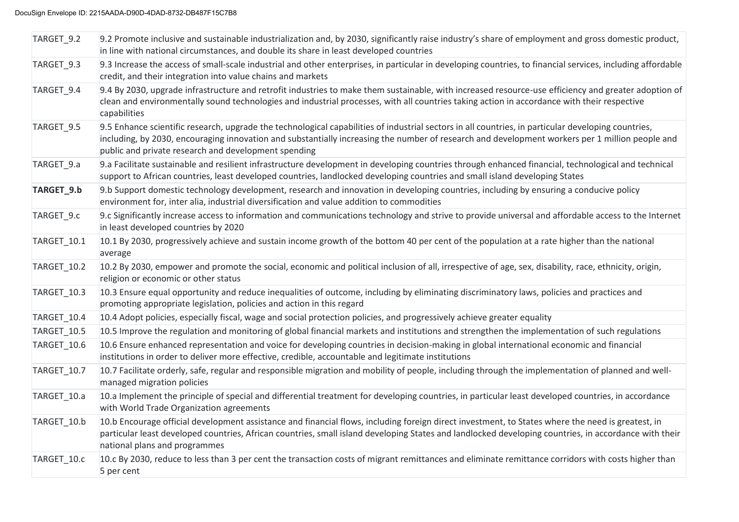| TARGET_9.2  | 9.2 Promote inclusive and sustainable industrialization and, by 2030, significantly raise industry's share of employment and gross domestic product,<br>in line with national circumstances, and double its share in least developed countries                                                                                                                 |
|-------------|----------------------------------------------------------------------------------------------------------------------------------------------------------------------------------------------------------------------------------------------------------------------------------------------------------------------------------------------------------------|
| TARGET_9.3  | 9.3 Increase the access of small-scale industrial and other enterprises, in particular in developing countries, to financial services, including affordable<br>credit, and their integration into value chains and markets                                                                                                                                     |
| TARGET 9.4  | 9.4 By 2030, upgrade infrastructure and retrofit industries to make them sustainable, with increased resource-use efficiency and greater adoption of<br>clean and environmentally sound technologies and industrial processes, with all countries taking action in accordance with their respective<br>capabilities                                            |
| TARGET_9.5  | 9.5 Enhance scientific research, upgrade the technological capabilities of industrial sectors in all countries, in particular developing countries,<br>including, by 2030, encouraging innovation and substantially increasing the number of research and development workers per 1 million people and<br>public and private research and development spending |
| TARGET_9.a  | 9.a Facilitate sustainable and resilient infrastructure development in developing countries through enhanced financial, technological and technical<br>support to African countries, least developed countries, landlocked developing countries and small island developing States                                                                             |
| TARGET_9.b  | 9.b Support domestic technology development, research and innovation in developing countries, including by ensuring a conducive policy<br>environment for, inter alia, industrial diversification and value addition to commodities                                                                                                                            |
| TARGET_9.c  | 9.c Significantly increase access to information and communications technology and strive to provide universal and affordable access to the Internet<br>in least developed countries by 2020                                                                                                                                                                   |
| TARGET_10.1 | 10.1 By 2030, progressively achieve and sustain income growth of the bottom 40 per cent of the population at a rate higher than the national<br>average                                                                                                                                                                                                        |
| TARGET_10.2 | 10.2 By 2030, empower and promote the social, economic and political inclusion of all, irrespective of age, sex, disability, race, ethnicity, origin,<br>religion or economic or other status                                                                                                                                                                  |
| TARGET_10.3 | 10.3 Ensure equal opportunity and reduce inequalities of outcome, including by eliminating discriminatory laws, policies and practices and<br>promoting appropriate legislation, policies and action in this regard                                                                                                                                            |
| TARGET_10.4 | 10.4 Adopt policies, especially fiscal, wage and social protection policies, and progressively achieve greater equality                                                                                                                                                                                                                                        |
| TARGET_10.5 | 10.5 Improve the regulation and monitoring of global financial markets and institutions and strengthen the implementation of such regulations                                                                                                                                                                                                                  |
| TARGET_10.6 | 10.6 Ensure enhanced representation and voice for developing countries in decision-making in global international economic and financial<br>institutions in order to deliver more effective, credible, accountable and legitimate institutions                                                                                                                 |
| TARGET_10.7 | 10.7 Facilitate orderly, safe, regular and responsible migration and mobility of people, including through the implementation of planned and well-<br>managed migration policies                                                                                                                                                                               |
| TARGET_10.a | 10.a Implement the principle of special and differential treatment for developing countries, in particular least developed countries, in accordance<br>with World Trade Organization agreements                                                                                                                                                                |
| TARGET_10.b | 10.b Encourage official development assistance and financial flows, including foreign direct investment, to States where the need is greatest, in<br>particular least developed countries, African countries, small island developing States and landlocked developing countries, in accordance with their<br>national plans and programmes                    |
| TARGET 10.c | 10.c By 2030, reduce to less than 3 per cent the transaction costs of migrant remittances and eliminate remittance corridors with costs higher than<br>5 per cent                                                                                                                                                                                              |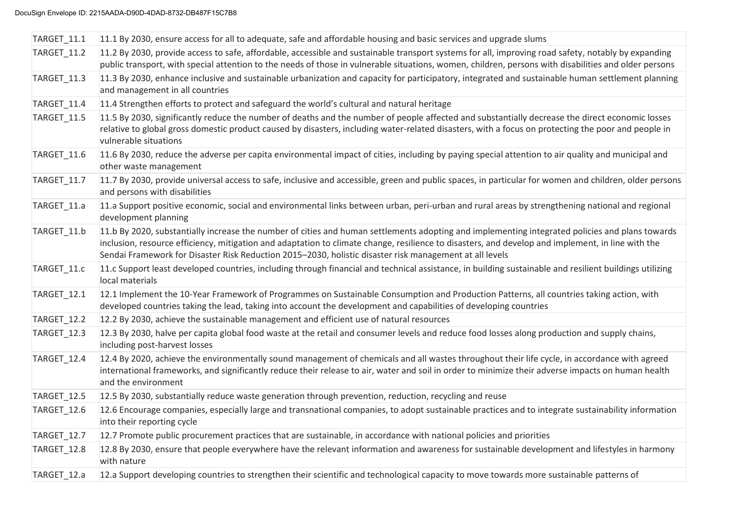| TARGET_11.1        | 11.1 By 2030, ensure access for all to adequate, safe and affordable housing and basic services and upgrade slums                                                                                                                                                                                                                                                                                               |
|--------------------|-----------------------------------------------------------------------------------------------------------------------------------------------------------------------------------------------------------------------------------------------------------------------------------------------------------------------------------------------------------------------------------------------------------------|
| <b>TARGET_11.2</b> | 11.2 By 2030, provide access to safe, affordable, accessible and sustainable transport systems for all, improving road safety, notably by expanding<br>public transport, with special attention to the needs of those in vulnerable situations, women, children, persons with disabilities and older persons                                                                                                    |
| TARGET_11.3        | 11.3 By 2030, enhance inclusive and sustainable urbanization and capacity for participatory, integrated and sustainable human settlement planning<br>and management in all countries                                                                                                                                                                                                                            |
| TARGET_11.4        | 11.4 Strengthen efforts to protect and safeguard the world's cultural and natural heritage                                                                                                                                                                                                                                                                                                                      |
| TARGET_11.5        | 11.5 By 2030, significantly reduce the number of deaths and the number of people affected and substantially decrease the direct economic losses<br>relative to global gross domestic product caused by disasters, including water-related disasters, with a focus on protecting the poor and people in<br>vulnerable situations                                                                                 |
| TARGET_11.6        | 11.6 By 2030, reduce the adverse per capita environmental impact of cities, including by paying special attention to air quality and municipal and<br>other waste management                                                                                                                                                                                                                                    |
| TARGET_11.7        | 11.7 By 2030, provide universal access to safe, inclusive and accessible, green and public spaces, in particular for women and children, older persons<br>and persons with disabilities                                                                                                                                                                                                                         |
| TARGET_11.a        | 11.a Support positive economic, social and environmental links between urban, peri-urban and rural areas by strengthening national and regional<br>development planning                                                                                                                                                                                                                                         |
| TARGET_11.b        | 11.b By 2020, substantially increase the number of cities and human settlements adopting and implementing integrated policies and plans towards<br>inclusion, resource efficiency, mitigation and adaptation to climate change, resilience to disasters, and develop and implement, in line with the<br>Sendai Framework for Disaster Risk Reduction 2015-2030, holistic disaster risk management at all levels |
| TARGET_11.c        | 11.c Support least developed countries, including through financial and technical assistance, in building sustainable and resilient buildings utilizing<br>local materials                                                                                                                                                                                                                                      |
| TARGET_12.1        | 12.1 Implement the 10-Year Framework of Programmes on Sustainable Consumption and Production Patterns, all countries taking action, with<br>developed countries taking the lead, taking into account the development and capabilities of developing countries                                                                                                                                                   |
| <b>TARGET_12.2</b> | 12.2 By 2030, achieve the sustainable management and efficient use of natural resources                                                                                                                                                                                                                                                                                                                         |
| TARGET_12.3        | 12.3 By 2030, halve per capita global food waste at the retail and consumer levels and reduce food losses along production and supply chains,<br>including post-harvest losses                                                                                                                                                                                                                                  |
| TARGET_12.4        | 12.4 By 2020, achieve the environmentally sound management of chemicals and all wastes throughout their life cycle, in accordance with agreed<br>international frameworks, and significantly reduce their release to air, water and soil in order to minimize their adverse impacts on human health<br>and the environment                                                                                      |
| TARGET_12.5        | 12.5 By 2030, substantially reduce waste generation through prevention, reduction, recycling and reuse                                                                                                                                                                                                                                                                                                          |
| TARGET_12.6        | 12.6 Encourage companies, especially large and transnational companies, to adopt sustainable practices and to integrate sustainability information<br>into their reporting cycle                                                                                                                                                                                                                                |
| TARGET_12.7        | 12.7 Promote public procurement practices that are sustainable, in accordance with national policies and priorities                                                                                                                                                                                                                                                                                             |
| TARGET_12.8        | 12.8 By 2030, ensure that people everywhere have the relevant information and awareness for sustainable development and lifestyles in harmony<br>with nature                                                                                                                                                                                                                                                    |
| TARGET_12.a        | 12.a Support developing countries to strengthen their scientific and technological capacity to move towards more sustainable patterns of                                                                                                                                                                                                                                                                        |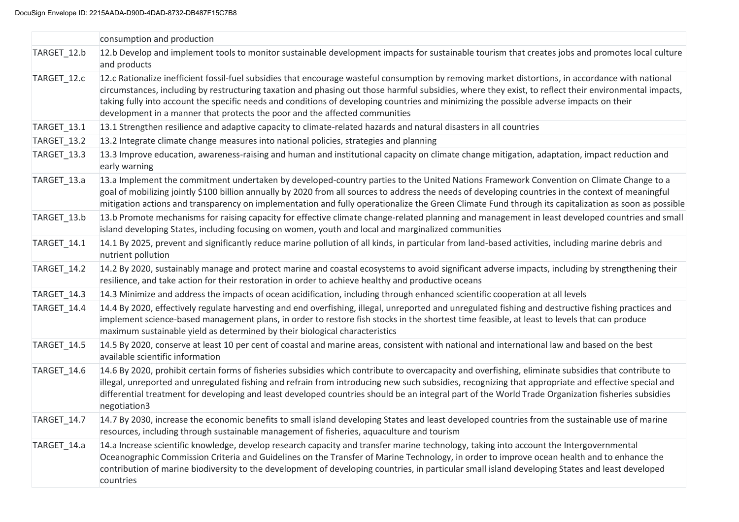|             | consumption and production                                                                                                                                                                                                                                                                                                                                                                                                                                                                                                             |
|-------------|----------------------------------------------------------------------------------------------------------------------------------------------------------------------------------------------------------------------------------------------------------------------------------------------------------------------------------------------------------------------------------------------------------------------------------------------------------------------------------------------------------------------------------------|
| TARGET_12.b | 12.b Develop and implement tools to monitor sustainable development impacts for sustainable tourism that creates jobs and promotes local culture<br>and products                                                                                                                                                                                                                                                                                                                                                                       |
| TARGET_12.c | 12.c Rationalize inefficient fossil-fuel subsidies that encourage wasteful consumption by removing market distortions, in accordance with national<br>circumstances, including by restructuring taxation and phasing out those harmful subsidies, where they exist, to reflect their environmental impacts,<br>taking fully into account the specific needs and conditions of developing countries and minimizing the possible adverse impacts on their<br>development in a manner that protects the poor and the affected communities |
| TARGET_13.1 | 13.1 Strengthen resilience and adaptive capacity to climate-related hazards and natural disasters in all countries                                                                                                                                                                                                                                                                                                                                                                                                                     |
| TARGET_13.2 | 13.2 Integrate climate change measures into national policies, strategies and planning                                                                                                                                                                                                                                                                                                                                                                                                                                                 |
| TARGET_13.3 | 13.3 Improve education, awareness-raising and human and institutional capacity on climate change mitigation, adaptation, impact reduction and<br>early warning                                                                                                                                                                                                                                                                                                                                                                         |
| TARGET_13.a | 13.a Implement the commitment undertaken by developed-country parties to the United Nations Framework Convention on Climate Change to a<br>goal of mobilizing jointly \$100 billion annually by 2020 from all sources to address the needs of developing countries in the context of meaningful<br>mitigation actions and transparency on implementation and fully operationalize the Green Climate Fund through its capitalization as soon as possible                                                                                |
| TARGET_13.b | 13.b Promote mechanisms for raising capacity for effective climate change-related planning and management in least developed countries and small<br>island developing States, including focusing on women, youth and local and marginalized communities                                                                                                                                                                                                                                                                                |
| TARGET_14.1 | 14.1 By 2025, prevent and significantly reduce marine pollution of all kinds, in particular from land-based activities, including marine debris and<br>nutrient pollution                                                                                                                                                                                                                                                                                                                                                              |
| TARGET_14.2 | 14.2 By 2020, sustainably manage and protect marine and coastal ecosystems to avoid significant adverse impacts, including by strengthening their<br>resilience, and take action for their restoration in order to achieve healthy and productive oceans                                                                                                                                                                                                                                                                               |
| TARGET_14.3 | 14.3 Minimize and address the impacts of ocean acidification, including through enhanced scientific cooperation at all levels                                                                                                                                                                                                                                                                                                                                                                                                          |
| TARGET_14.4 | 14.4 By 2020, effectively regulate harvesting and end overfishing, illegal, unreported and unregulated fishing and destructive fishing practices and<br>implement science-based management plans, in order to restore fish stocks in the shortest time feasible, at least to levels that can produce<br>maximum sustainable yield as determined by their biological characteristics                                                                                                                                                    |
| TARGET_14.5 | 14.5 By 2020, conserve at least 10 per cent of coastal and marine areas, consistent with national and international law and based on the best<br>available scientific information                                                                                                                                                                                                                                                                                                                                                      |
| TARGET_14.6 | 14.6 By 2020, prohibit certain forms of fisheries subsidies which contribute to overcapacity and overfishing, eliminate subsidies that contribute to<br>illegal, unreported and unregulated fishing and refrain from introducing new such subsidies, recognizing that appropriate and effective special and<br>differential treatment for developing and least developed countries should be an integral part of the World Trade Organization fisheries subsidies<br>negotiation3                                                      |
| TARGET_14.7 | 14.7 By 2030, increase the economic benefits to small island developing States and least developed countries from the sustainable use of marine<br>resources, including through sustainable management of fisheries, aquaculture and tourism                                                                                                                                                                                                                                                                                           |
| TARGET_14.a | 14.a Increase scientific knowledge, develop research capacity and transfer marine technology, taking into account the Intergovernmental<br>Oceanographic Commission Criteria and Guidelines on the Transfer of Marine Technology, in order to improve ocean health and to enhance the<br>contribution of marine biodiversity to the development of developing countries, in particular small island developing States and least developed<br>countries                                                                                 |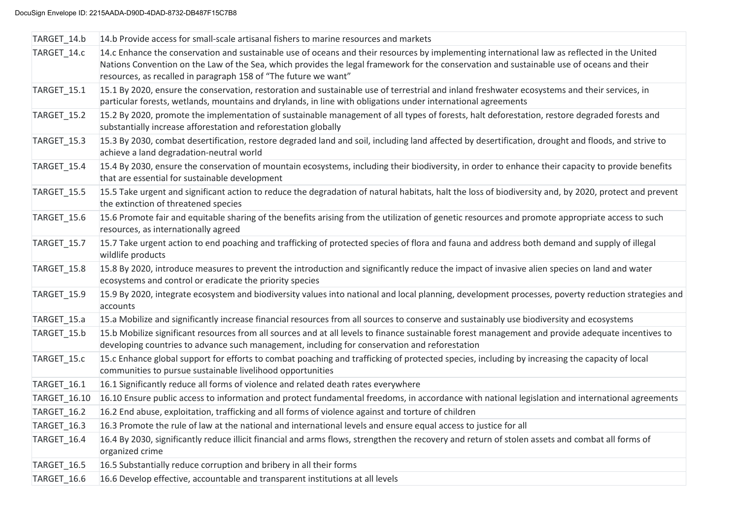| TARGET_14.b        | 14.b Provide access for small-scale artisanal fishers to marine resources and markets                                                                                                                                                                                                                                                                        |
|--------------------|--------------------------------------------------------------------------------------------------------------------------------------------------------------------------------------------------------------------------------------------------------------------------------------------------------------------------------------------------------------|
| TARGET 14.c        | 14.c Enhance the conservation and sustainable use of oceans and their resources by implementing international law as reflected in the United<br>Nations Convention on the Law of the Sea, which provides the legal framework for the conservation and sustainable use of oceans and their<br>resources, as recalled in paragraph 158 of "The future we want" |
| TARGET_15.1        | 15.1 By 2020, ensure the conservation, restoration and sustainable use of terrestrial and inland freshwater ecosystems and their services, in<br>particular forests, wetlands, mountains and drylands, in line with obligations under international agreements                                                                                               |
| <b>TARGET_15.2</b> | 15.2 By 2020, promote the implementation of sustainable management of all types of forests, halt deforestation, restore degraded forests and<br>substantially increase afforestation and reforestation globally                                                                                                                                              |
| TARGET_15.3        | 15.3 By 2030, combat desertification, restore degraded land and soil, including land affected by desertification, drought and floods, and strive to<br>achieve a land degradation-neutral world                                                                                                                                                              |
| TARGET_15.4        | 15.4 By 2030, ensure the conservation of mountain ecosystems, including their biodiversity, in order to enhance their capacity to provide benefits<br>that are essential for sustainable development                                                                                                                                                         |
| TARGET_15.5        | 15.5 Take urgent and significant action to reduce the degradation of natural habitats, halt the loss of biodiversity and, by 2020, protect and prevent<br>the extinction of threatened species                                                                                                                                                               |
| TARGET_15.6        | 15.6 Promote fair and equitable sharing of the benefits arising from the utilization of genetic resources and promote appropriate access to such<br>resources, as internationally agreed                                                                                                                                                                     |
| TARGET_15.7        | 15.7 Take urgent action to end poaching and trafficking of protected species of flora and fauna and address both demand and supply of illegal<br>wildlife products                                                                                                                                                                                           |
| TARGET_15.8        | 15.8 By 2020, introduce measures to prevent the introduction and significantly reduce the impact of invasive alien species on land and water<br>ecosystems and control or eradicate the priority species                                                                                                                                                     |
| TARGET_15.9        | 15.9 By 2020, integrate ecosystem and biodiversity values into national and local planning, development processes, poverty reduction strategies and<br>accounts                                                                                                                                                                                              |
| TARGET_15.a        | 15.a Mobilize and significantly increase financial resources from all sources to conserve and sustainably use biodiversity and ecosystems                                                                                                                                                                                                                    |
| TARGET_15.b        | 15.b Mobilize significant resources from all sources and at all levels to finance sustainable forest management and provide adequate incentives to<br>developing countries to advance such management, including for conservation and reforestation                                                                                                          |
| TARGET_15.c        | 15.c Enhance global support for efforts to combat poaching and trafficking of protected species, including by increasing the capacity of local<br>communities to pursue sustainable livelihood opportunities                                                                                                                                                 |
| TARGET_16.1        | 16.1 Significantly reduce all forms of violence and related death rates everywhere                                                                                                                                                                                                                                                                           |
| TARGET_16.10       | 16.10 Ensure public access to information and protect fundamental freedoms, in accordance with national legislation and international agreements                                                                                                                                                                                                             |
| TARGET_16.2        | 16.2 End abuse, exploitation, trafficking and all forms of violence against and torture of children                                                                                                                                                                                                                                                          |
| TARGET_16.3        | 16.3 Promote the rule of law at the national and international levels and ensure equal access to justice for all                                                                                                                                                                                                                                             |
| TARGET_16.4        | 16.4 By 2030, significantly reduce illicit financial and arms flows, strengthen the recovery and return of stolen assets and combat all forms of<br>organized crime                                                                                                                                                                                          |
| TARGET_16.5        | 16.5 Substantially reduce corruption and bribery in all their forms                                                                                                                                                                                                                                                                                          |
| TARGET_16.6        | 16.6 Develop effective, accountable and transparent institutions at all levels                                                                                                                                                                                                                                                                               |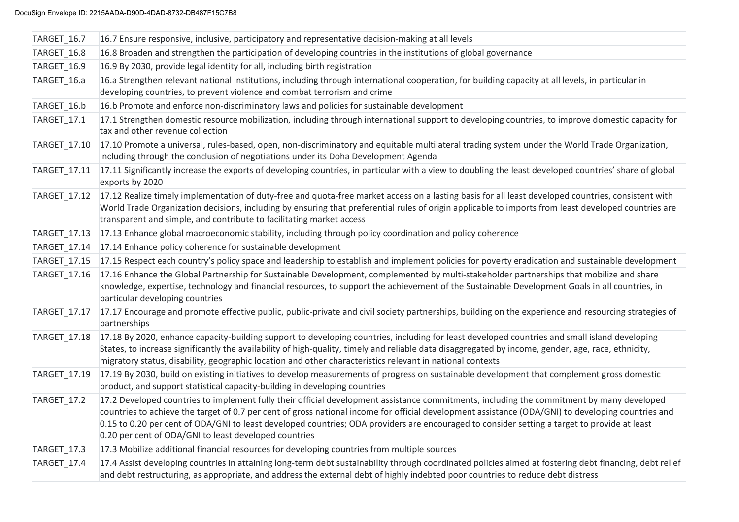| TARGET_16.7        | 16.7 Ensure responsive, inclusive, participatory and representative decision-making at all levels                                                                                                                                                                                                                                                                                                                                                                                                        |
|--------------------|----------------------------------------------------------------------------------------------------------------------------------------------------------------------------------------------------------------------------------------------------------------------------------------------------------------------------------------------------------------------------------------------------------------------------------------------------------------------------------------------------------|
| TARGET_16.8        | 16.8 Broaden and strengthen the participation of developing countries in the institutions of global governance                                                                                                                                                                                                                                                                                                                                                                                           |
| <b>TARGET_16.9</b> | 16.9 By 2030, provide legal identity for all, including birth registration                                                                                                                                                                                                                                                                                                                                                                                                                               |
| TARGET_16.a        | 16.a Strengthen relevant national institutions, including through international cooperation, for building capacity at all levels, in particular in<br>developing countries, to prevent violence and combat terrorism and crime                                                                                                                                                                                                                                                                           |
| TARGET_16.b        | 16.b Promote and enforce non-discriminatory laws and policies for sustainable development                                                                                                                                                                                                                                                                                                                                                                                                                |
| TARGET_17.1        | 17.1 Strengthen domestic resource mobilization, including through international support to developing countries, to improve domestic capacity for<br>tax and other revenue collection                                                                                                                                                                                                                                                                                                                    |
| TARGET_17.10       | 17.10 Promote a universal, rules-based, open, non-discriminatory and equitable multilateral trading system under the World Trade Organization,<br>including through the conclusion of negotiations under its Doha Development Agenda                                                                                                                                                                                                                                                                     |
| TARGET_17.11       | 17.11 Significantly increase the exports of developing countries, in particular with a view to doubling the least developed countries' share of global<br>exports by 2020                                                                                                                                                                                                                                                                                                                                |
| TARGET_17.12       | 17.12 Realize timely implementation of duty-free and quota-free market access on a lasting basis for all least developed countries, consistent with<br>World Trade Organization decisions, including by ensuring that preferential rules of origin applicable to imports from least developed countries are<br>transparent and simple, and contribute to facilitating market access                                                                                                                      |
| TARGET_17.13       | 17.13 Enhance global macroeconomic stability, including through policy coordination and policy coherence                                                                                                                                                                                                                                                                                                                                                                                                 |
| TARGET_17.14       | 17.14 Enhance policy coherence for sustainable development                                                                                                                                                                                                                                                                                                                                                                                                                                               |
| TARGET_17.15       | 17.15 Respect each country's policy space and leadership to establish and implement policies for poverty eradication and sustainable development                                                                                                                                                                                                                                                                                                                                                         |
| TARGET_17.16       | 17.16 Enhance the Global Partnership for Sustainable Development, complemented by multi-stakeholder partnerships that mobilize and share<br>knowledge, expertise, technology and financial resources, to support the achievement of the Sustainable Development Goals in all countries, in<br>particular developing countries                                                                                                                                                                            |
| TARGET_17.17       | 17.17 Encourage and promote effective public, public-private and civil society partnerships, building on the experience and resourcing strategies of<br>partnerships                                                                                                                                                                                                                                                                                                                                     |
| TARGET_17.18       | 17.18 By 2020, enhance capacity-building support to developing countries, including for least developed countries and small island developing<br>States, to increase significantly the availability of high-quality, timely and reliable data disaggregated by income, gender, age, race, ethnicity,<br>migratory status, disability, geographic location and other characteristics relevant in national contexts                                                                                        |
| TARGET_17.19       | 17.19 By 2030, build on existing initiatives to develop measurements of progress on sustainable development that complement gross domestic<br>product, and support statistical capacity-building in developing countries                                                                                                                                                                                                                                                                                 |
| <b>TARGET_17.2</b> | 17.2 Developed countries to implement fully their official development assistance commitments, including the commitment by many developed<br>countries to achieve the target of 0.7 per cent of gross national income for official development assistance (ODA/GNI) to developing countries and<br>0.15 to 0.20 per cent of ODA/GNI to least developed countries; ODA providers are encouraged to consider setting a target to provide at least<br>0.20 per cent of ODA/GNI to least developed countries |
| TARGET_17.3        | 17.3 Mobilize additional financial resources for developing countries from multiple sources                                                                                                                                                                                                                                                                                                                                                                                                              |
| TARGET_17.4        | 17.4 Assist developing countries in attaining long-term debt sustainability through coordinated policies aimed at fostering debt financing, debt relief<br>and debt restructuring, as appropriate, and address the external debt of highly indebted poor countries to reduce debt distress                                                                                                                                                                                                               |